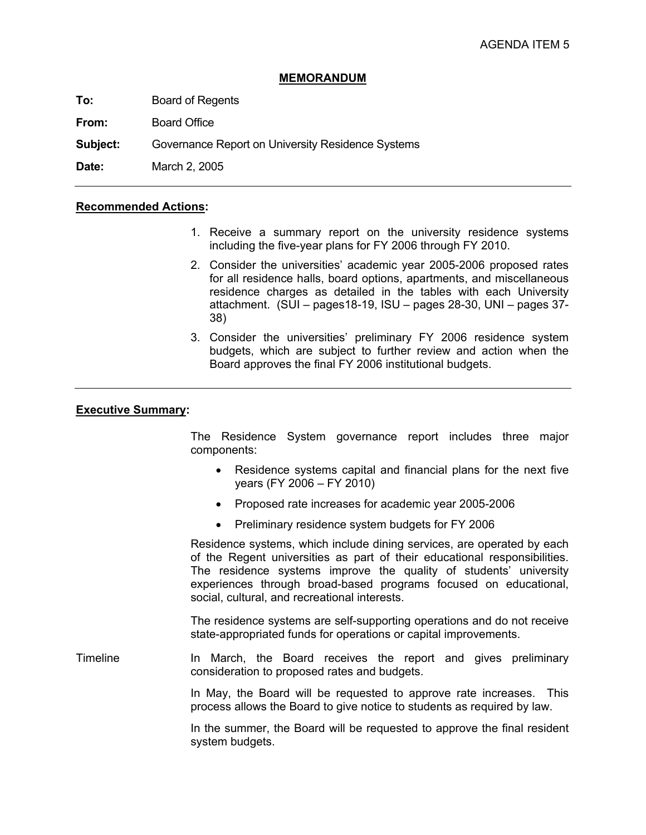## **MEMORANDUM**

**To:** Board of Regents

**From:** Board Office

**Subject:** Governance Report on University Residence Systems

**Date:** March 2, 2005

## **Recommended Actions:**

- 1. Receive a summary report on the university residence systems including the five-year plans for FY 2006 through FY 2010.
- 2. Consider the universities' academic year 2005-2006 proposed rates for all residence halls, board options, apartments, and miscellaneous residence charges as detailed in the tables with each University attachment. (SUI – pages18-19, ISU – pages 28-30, UNI – pages 37- 38)
- 3. Consider the universities' preliminary FY 2006 residence system budgets, which are subject to further review and action when the Board approves the final FY 2006 institutional budgets.

## **Executive Summary:**

 The Residence System governance report includes three major components:

- Residence systems capital and financial plans for the next five years (FY 2006 – FY 2010)
- Proposed rate increases for academic year 2005-2006
- Preliminary residence system budgets for FY 2006

 Residence systems, which include dining services, are operated by each of the Regent universities as part of their educational responsibilities. The residence systems improve the quality of students' university experiences through broad-based programs focused on educational, social, cultural, and recreational interests.

The residence systems are self-supporting operations and do not receive state-appropriated funds for operations or capital improvements.

Timeline **In March, the Board receives the report and gives preliminary** consideration to proposed rates and budgets.

> In May, the Board will be requested to approve rate increases. This process allows the Board to give notice to students as required by law.

> In the summer, the Board will be requested to approve the final resident system budgets.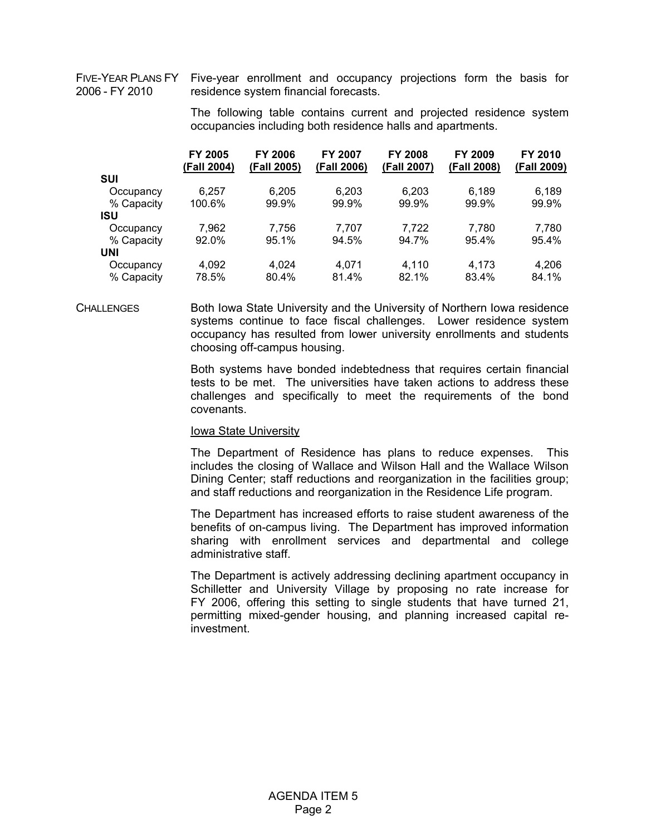2006 - FY 2010

FIVE-YEAR PLANS FY Five-year enrollment and occupancy projections form the basis for residence system financial forecasts.

> The following table contains current and projected residence system occupancies including both residence halls and apartments.

|            | FY 2005<br>(Fall 2004) | <b>FY 2006</b><br>(Fall 2005) | <b>FY 2007</b><br>(Fall 2006) | <b>FY 2008</b><br>(Fall 2007) | FY 2009<br>(Fall 2008) | <b>FY 2010</b><br>(Fall 2009) |
|------------|------------------------|-------------------------------|-------------------------------|-------------------------------|------------------------|-------------------------------|
| <b>SUI</b> |                        |                               |                               |                               |                        |                               |
| Occupancy  | 6.257                  | 6.205                         | 6.203                         | 6,203                         | 6.189                  | 6.189                         |
| % Capacity | 100.6%                 | 99.9%                         | 99.9%                         | 99.9%                         | 99.9%                  | 99.9%                         |
| ISU        |                        |                               |                               |                               |                        |                               |
| Occupancy  | 7.962                  | 7.756                         | 7.707                         | 7,722                         | 7.780                  | 7.780                         |
| % Capacity | 92.0%                  | 95.1%                         | 94.5%                         | 94.7%                         | 95.4%                  | 95.4%                         |
| UNI        |                        |                               |                               |                               |                        |                               |
| Occupancy  | 4,092                  | 4.024                         | 4.071                         | 4.110                         | 4.173                  | 4.206                         |
| % Capacity | 78.5%                  | 80.4%                         | 81.4%                         | 82.1%                         | 83.4%                  | 84.1%                         |

CHALLENGES Both Iowa State University and the University of Northern Iowa residence systems continue to face fiscal challenges. Lower residence system occupancy has resulted from lower university enrollments and students choosing off-campus housing.

> Both systems have bonded indebtedness that requires certain financial tests to be met. The universities have taken actions to address these challenges and specifically to meet the requirements of the bond covenants.

#### Iowa State University

The Department of Residence has plans to reduce expenses. This includes the closing of Wallace and Wilson Hall and the Wallace Wilson Dining Center; staff reductions and reorganization in the facilities group; and staff reductions and reorganization in the Residence Life program.

The Department has increased efforts to raise student awareness of the benefits of on-campus living. The Department has improved information sharing with enrollment services and departmental and college administrative staff.

The Department is actively addressing declining apartment occupancy in Schilletter and University Village by proposing no rate increase for FY 2006, offering this setting to single students that have turned 21, permitting mixed-gender housing, and planning increased capital reinvestment.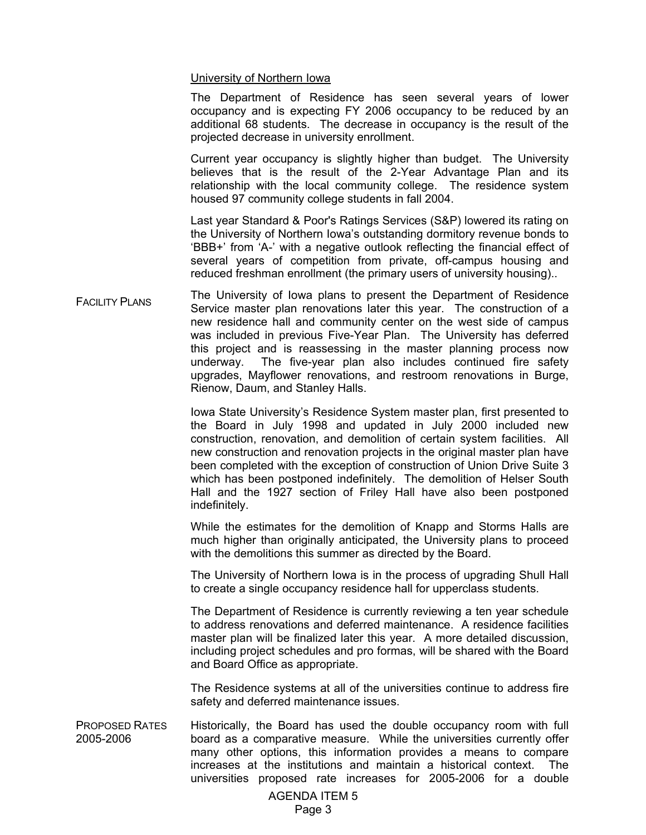## University of Northern Iowa

The Department of Residence has seen several years of lower occupancy and is expecting FY 2006 occupancy to be reduced by an additional 68 students. The decrease in occupancy is the result of the projected decrease in university enrollment.

Current year occupancy is slightly higher than budget. The University believes that is the result of the 2-Year Advantage Plan and its relationship with the local community college. The residence system housed 97 community college students in fall 2004.

Last year Standard & Poor's Ratings Services (S&P) lowered its rating on the University of Northern Iowa's outstanding dormitory revenue bonds to 'BBB+' from 'A-' with a negative outlook reflecting the financial effect of several years of competition from private, off-campus housing and reduced freshman enrollment (the primary users of university housing)..

FACILITY PLANS The University of Iowa plans to present the Department of Residence Service master plan renovations later this year. The construction of a new residence hall and community center on the west side of campus was included in previous Five-Year Plan. The University has deferred this project and is reassessing in the master planning process now underway. The five-year plan also includes continued fire safety upgrades, Mayflower renovations, and restroom renovations in Burge, Rienow, Daum, and Stanley Halls.

> Iowa State University's Residence System master plan, first presented to the Board in July 1998 and updated in July 2000 included new construction, renovation, and demolition of certain system facilities. All new construction and renovation projects in the original master plan have been completed with the exception of construction of Union Drive Suite 3 which has been postponed indefinitely. The demolition of Helser South Hall and the 1927 section of Friley Hall have also been postponed indefinitely.

> While the estimates for the demolition of Knapp and Storms Halls are much higher than originally anticipated, the University plans to proceed with the demolitions this summer as directed by the Board.

> The University of Northern Iowa is in the process of upgrading Shull Hall to create a single occupancy residence hall for upperclass students.

> The Department of Residence is currently reviewing a ten year schedule to address renovations and deferred maintenance. A residence facilities master plan will be finalized later this year. A more detailed discussion, including project schedules and pro formas, will be shared with the Board and Board Office as appropriate.

> The Residence systems at all of the universities continue to address fire safety and deferred maintenance issues.

PROPOSED RATES 2005-2006 Historically, the Board has used the double occupancy room with full board as a comparative measure. While the universities currently offer many other options, this information provides a means to compare increases at the institutions and maintain a historical context. The universities proposed rate increases for 2005-2006 for a double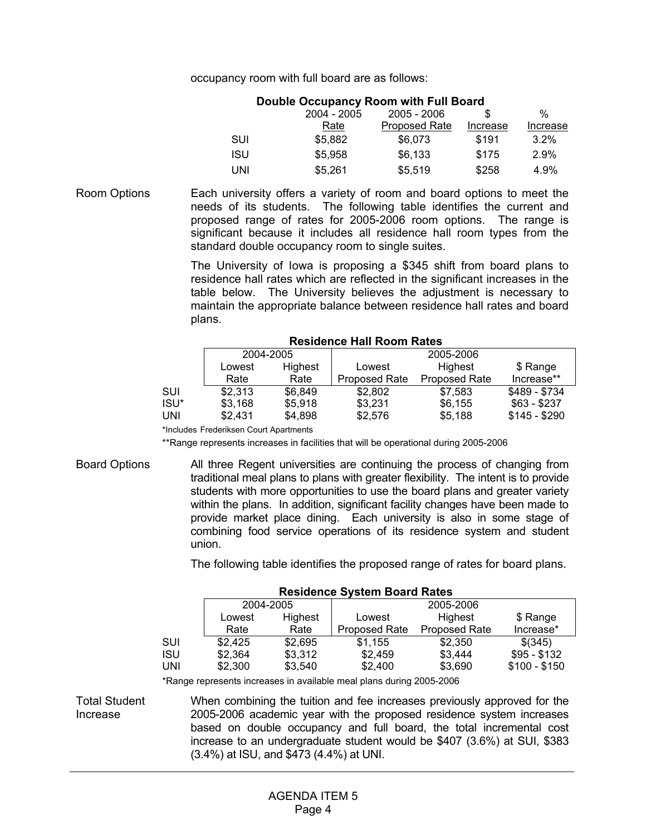occupancy room with full board are as follows:

# **Double Occupancy Room with Full Board**

|            | 2004 - 2005 | $2005 - 2006$        | \$.      | %        |
|------------|-------------|----------------------|----------|----------|
|            | Rate        | <b>Proposed Rate</b> | Increase | Increase |
| SUI        | \$5.882     | \$6,073              | \$191    | $3.2\%$  |
| <b>ISU</b> | \$5.958     | \$6.133              | \$175    | 2.9%     |
| UNI        | \$5.261     | \$5.519              | \$258    | 4.9%     |

Room Options Each university offers a variety of room and board options to meet the needs of its students. The following table identifies the current and proposed range of rates for 2005-2006 room options. The range is significant because it includes all residence hall room types from the standard double occupancy room to single suites.

> The University of Iowa is proposing a \$345 shift from board plans to residence hall rates which are reflected in the significant increases in the table below. The University believes the adjustment is necessary to maintain the appropriate balance between residence hall rates and board plans.

| 2004-2005 |         | 2005-2006            |                      |               |  |
|-----------|---------|----------------------|----------------------|---------------|--|
| Lowest    | Highest | Lowest               | Highest              | \$ Range      |  |
| Rate      | Rate    | <b>Proposed Rate</b> | <b>Proposed Rate</b> | Increase**    |  |
| \$2,313   | \$6.849 | \$2.802              | \$7.583              | \$489 - \$734 |  |
| \$3,168   | \$5.918 | \$3.231              | \$6.155              | $$63 - $237$  |  |
| \$2.431   | \$4.898 | \$2,576              | \$5,188              | $$145 - $290$ |  |
|           |         |                      |                      |               |  |

#### **Residence Hall Room Rates**

\*Includes Frederiksen Court Apartments

\*\*Range represents increases in facilities that will be operational during 2005-2006

Board Options All three Regent universities are continuing the process of changing from traditional meal plans to plans with greater flexibility. The intent is to provide students with more opportunities to use the board plans and greater variety within the plans. In addition, significant facility changes have been made to provide market place dining. Each university is also in some stage of combining food service operations of its residence system and student union.

The following table identifies the proposed range of rates for board plans.

| <b>Residence System Board Rates</b> |           |         |                      |                      |               |  |  |
|-------------------------------------|-----------|---------|----------------------|----------------------|---------------|--|--|
|                                     | 2004-2005 |         | 2005-2006            |                      |               |  |  |
|                                     | Lowest    | Highest | Lowest               | Highest              | \$ Range      |  |  |
|                                     | Rate      | Rate    | <b>Proposed Rate</b> | <b>Proposed Rate</b> | Increase*     |  |  |
| SUI                                 | \$2,425   | \$2,695 | \$1,155              | \$2,350              | \$(345)       |  |  |
| ISU                                 | \$2.364   | \$3.312 | \$2,459              | \$3,444              | $$95 - $132$  |  |  |
| UNI                                 | \$2,300   | \$3,540 | \$2,400              | \$3,690              | $$100 - $150$ |  |  |
|                                     |           |         |                      |                      |               |  |  |

\*Range represents increases in available meal plans during 2005-2006

Total Student Increase

When combining the tuition and fee increases previously approved for the 2005-2006 academic year with the proposed residence system increases based on double occupancy and full board, the total incremental cost increase to an undergraduate student would be \$407 (3.6%) at SUI, \$383 (3.4%) at ISU, and \$473 (4.4%) at UNI.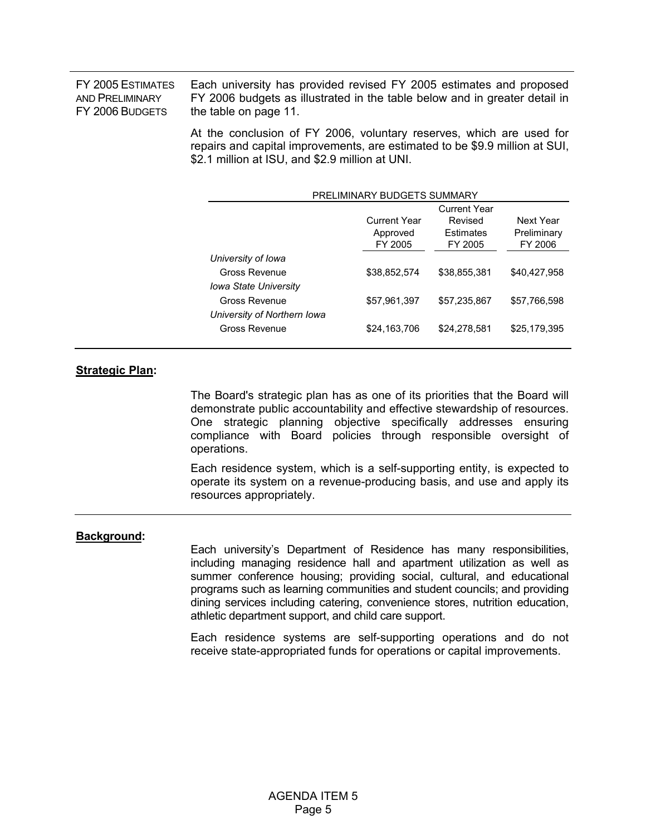FY 2005 ESTIMATES AND PRELIMINARY FY 2006 BUDGETS

Each university has provided revised FY 2005 estimates and proposed FY 2006 budgets as illustrated in the table below and in greater detail in the table on page 11.

At the conclusion of FY 2006, voluntary reserves, which are used for repairs and capital improvements, are estimated to be \$9.9 million at SUI, \$2.1 million at ISU, and \$2.9 million at UNI.

| PRELIMINARY BUDGETS SUMMARY                                         |                                            |                                                        |                                     |  |  |
|---------------------------------------------------------------------|--------------------------------------------|--------------------------------------------------------|-------------------------------------|--|--|
|                                                                     | <b>Current Year</b><br>Approved<br>FY 2005 | <b>Current Year</b><br>Revised<br>Estimates<br>FY 2005 | Next Year<br>Preliminary<br>FY 2006 |  |  |
| University of Iowa<br>Gross Revenue<br><b>Iowa State University</b> | \$38,852,574                               | \$38,855,381                                           | \$40,427,958                        |  |  |
| Gross Revenue<br>University of Northern Iowa                        | \$57,961,397                               | \$57,235,867                                           | \$57,766,598                        |  |  |
| Gross Revenue                                                       | \$24,163,706                               | \$24,278,581                                           | \$25,179,395                        |  |  |

# **Strategic Plan:**

 The Board's strategic plan has as one of its priorities that the Board will demonstrate public accountability and effective stewardship of resources. One strategic planning objective specifically addresses ensuring compliance with Board policies through responsible oversight of operations.

Each residence system, which is a self-supporting entity, is expected to operate its system on a revenue-producing basis, and use and apply its resources appropriately.

#### **Background:**

 Each university's Department of Residence has many responsibilities, including managing residence hall and apartment utilization as well as summer conference housing; providing social, cultural, and educational programs such as learning communities and student councils; and providing dining services including catering, convenience stores, nutrition education, athletic department support, and child care support.

Each residence systems are self-supporting operations and do not receive state-appropriated funds for operations or capital improvements.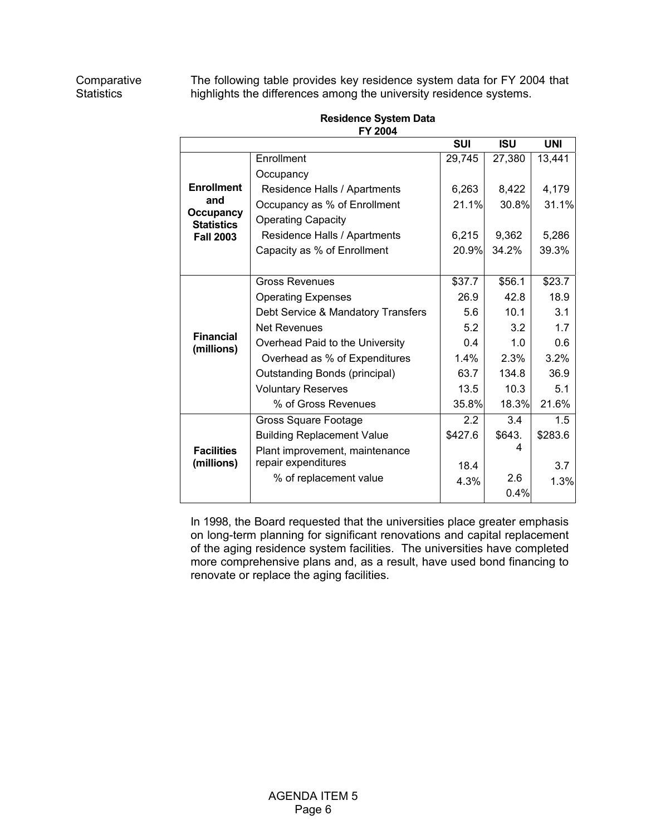The following table provides key residence system data for FY 2004 that highlights the differences among the university residence systems.

|                                       | FI ZUU4                            |            |            |            |
|---------------------------------------|------------------------------------|------------|------------|------------|
|                                       |                                    | <b>SUI</b> | <b>ISU</b> | <b>UNI</b> |
|                                       | Enrollment                         | 29,745     | 27,380     | 13,441     |
|                                       | Occupancy                          |            |            |            |
| <b>Enrollment</b>                     | Residence Halls / Apartments       | 6,263      | 8,422      | 4,179      |
| and                                   | Occupancy as % of Enrollment       | 21.1%      | 30.8%      | 31.1%      |
| <b>Occupancy</b><br><b>Statistics</b> | <b>Operating Capacity</b>          |            |            |            |
| <b>Fall 2003</b>                      | Residence Halls / Apartments       | 6,215      | 9,362      | 5,286      |
|                                       | Capacity as % of Enrollment        | 20.9%      | 34.2%      | 39.3%      |
|                                       |                                    |            |            |            |
|                                       | <b>Gross Revenues</b>              | \$37.7     | \$56.1     | \$23.7     |
|                                       | <b>Operating Expenses</b>          | 26.9       | 42.8       | 18.9       |
|                                       | Debt Service & Mandatory Transfers | 5.6        | 10.1       | 3.1        |
|                                       | <b>Net Revenues</b>                | 5.2        | 3.2        | 1.7        |
| <b>Financial</b><br>(millions)        | Overhead Paid to the University    | 0.4        | 1.0        | 0.6        |
|                                       | Overhead as % of Expenditures      | $1.4\%$    | 2.3%       | 3.2%       |
|                                       | Outstanding Bonds (principal)      | 63.7       | 134.8      | 36.9       |
|                                       | <b>Voluntary Reserves</b>          | 13.5       | 10.3       | 5.1        |
|                                       | % of Gross Revenues                | 35.8%      | 18.3%      | 21.6%      |
|                                       | Gross Square Footage               | $2.2\,$    | 3.4        | 1.5        |
|                                       | <b>Building Replacement Value</b>  | \$427.6    | \$643.     | \$283.6    |
| <b>Facilities</b>                     | Plant improvement, maintenance     |            | 4          |            |
| (millions)                            | repair expenditures                | 18.4       |            | 3.7        |
|                                       | % of replacement value             | 4.3%       | 2.6        | 1.3%       |
|                                       |                                    |            | 0.4%       |            |

**Residence System Data FY 2004** 

 In 1998, the Board requested that the universities place greater emphasis on long-term planning for significant renovations and capital replacement of the aging residence system facilities. The universities have completed more comprehensive plans and, as a result, have used bond financing to renovate or replace the aging facilities.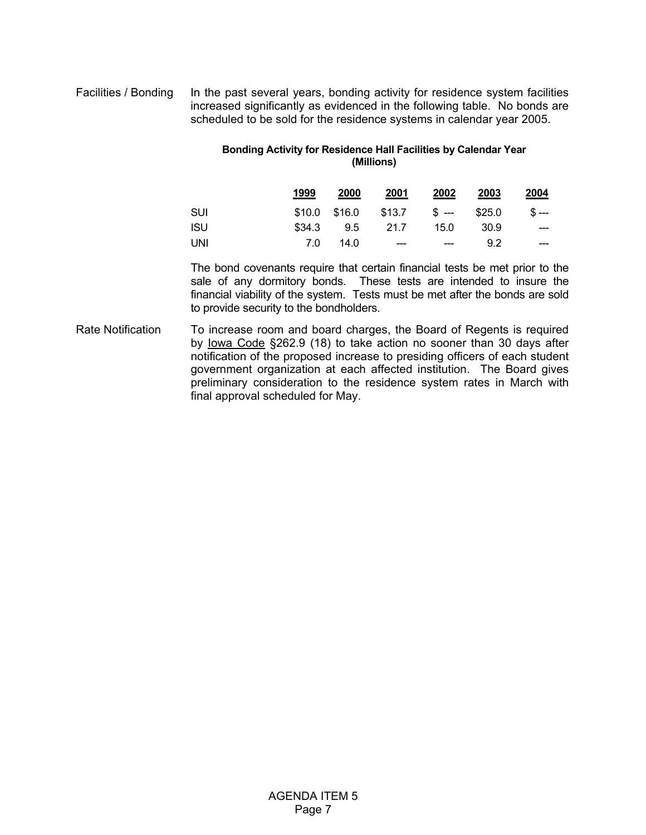# Facilities / Bonding In the past several years, bonding activity for residence system facilities increased significantly as evidenced in the following table. No bonds are scheduled to be sold for the residence systems in calendar year 2005.

# **Bonding Activity for Residence Hall Facilities by Calendar Year (Millions)**

|            | 1999 | 2000            | 2001                                | 2002  | 2003 | 2004             |
|------------|------|-----------------|-------------------------------------|-------|------|------------------|
| SUI        |      |                 | $$10.0$ $$16.0$ $$13.7$ $$-- $25.0$ |       |      | $\mathbb{S}$ --- |
| <b>ISU</b> |      | \$34.3 9.5 21.7 |                                     | 15.0  | 30.9 | ---              |
| UNI        | 7.0  | 14.0            | $---$                               | $---$ | 9.2  | $- - -$          |

 The bond covenants require that certain financial tests be met prior to the sale of any dormitory bonds. These tests are intended to insure the financial viability of the system. Tests must be met after the bonds are sold to provide security to the bondholders.

Rate Notification To increase room and board charges, the Board of Regents is required by Iowa Code §262.9 (18) to take action no sooner than 30 days after notification of the proposed increase to presiding officers of each student government organization at each affected institution. The Board gives preliminary consideration to the residence system rates in March with final approval scheduled for May.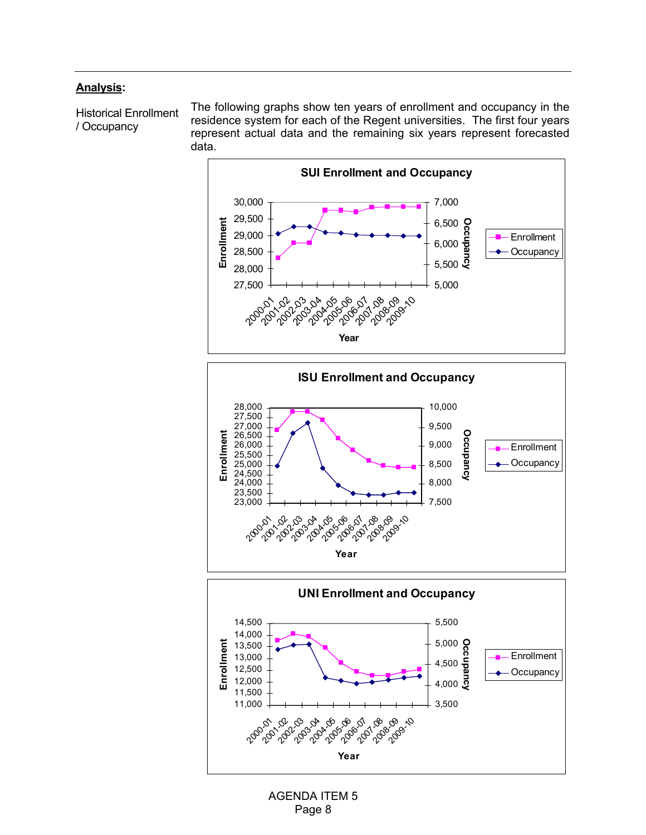# **Analysis:**

Historical Enrollment / Occupancy

The following graphs show ten years of enrollment and occupancy in the residence system for each of the Regent universities. The first four years represent actual data and the remaining six years represent forecasted data.



**Year**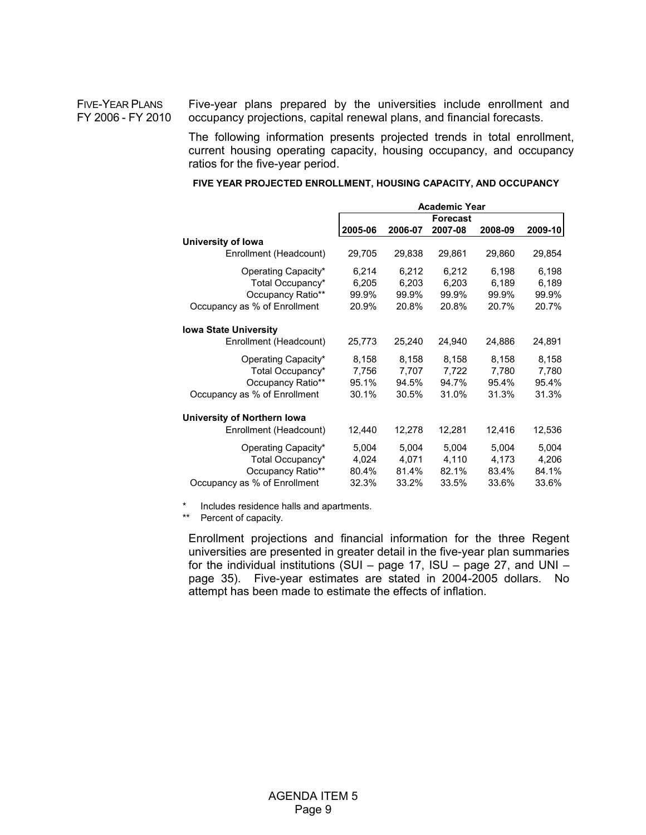FIVE-YEAR PLANS FY 2006 - FY 2010 Five-year plans prepared by the universities include enrollment and occupancy projections, capital renewal plans, and financial forecasts.

> The following information presents projected trends in total enrollment, current housing operating capacity, housing occupancy, and occupancy ratios for the five-year period.

**FIVE YEAR PROJECTED ENROLLMENT, HOUSING CAPACITY, AND OCCUPANCY**

|                              | <b>Academic Year</b> |         |                 |         |         |  |
|------------------------------|----------------------|---------|-----------------|---------|---------|--|
|                              |                      |         | <b>Forecast</b> |         |         |  |
|                              | 2005-06              | 2006-07 | 2007-08         | 2008-09 | 2009-10 |  |
| University of Iowa           |                      |         |                 |         |         |  |
| Enrollment (Headcount)       | 29,705               | 29,838  | 29,861          | 29,860  | 29,854  |  |
| Operating Capacity*          | 6,214                | 6,212   | 6,212           | 6,198   | 6,198   |  |
| Total Occupancy*             | 6,205                | 6.203   | 6.203           | 6,189   | 6,189   |  |
| Occupancy Ratio**            | 99.9%                | 99.9%   | 99.9%           | 99.9%   | 99.9%   |  |
| Occupancy as % of Enrollment | 20.9%                | 20.8%   | 20.8%           | 20.7%   | 20.7%   |  |
| <b>Iowa State University</b> |                      |         |                 |         |         |  |
| Enrollment (Headcount)       | 25,773               | 25,240  | 24,940          | 24,886  | 24,891  |  |
| Operating Capacity*          | 8,158                | 8,158   | 8,158           | 8,158   | 8,158   |  |
| Total Occupancy*             | 7,756                | 7,707   | 7,722           | 7,780   | 7,780   |  |
| Occupancy Ratio**            | 95.1%                | 94.5%   | 94.7%           | 95.4%   | 95.4%   |  |
| Occupancy as % of Enrollment | 30.1%                | 30.5%   | 31.0%           | 31.3%   | 31.3%   |  |
| University of Northern Iowa  |                      |         |                 |         |         |  |
| Enrollment (Headcount)       | 12,440               | 12,278  | 12,281          | 12,416  | 12,536  |  |
| Operating Capacity*          | 5,004                | 5,004   | 5,004           | 5,004   | 5,004   |  |
| Total Occupancy*             | 4,024                | 4,071   | 4,110           | 4,173   | 4,206   |  |
| Occupancy Ratio**            | 80.4%                | 81.4%   | 82.1%           | 83.4%   | 84.1%   |  |
| Occupancy as % of Enrollment | 32.3%                | 33.2%   | 33.5%           | 33.6%   | 33.6%   |  |

\* Includes residence halls and apartments.

\*\* Percent of capacity.

 Enrollment projections and financial information for the three Regent universities are presented in greater detail in the five-year plan summaries for the individual institutions (SUI – page 17, ISU – page 27, and UNI – page 35). Five-year estimates are stated in 2004-2005 dollars. No attempt has been made to estimate the effects of inflation.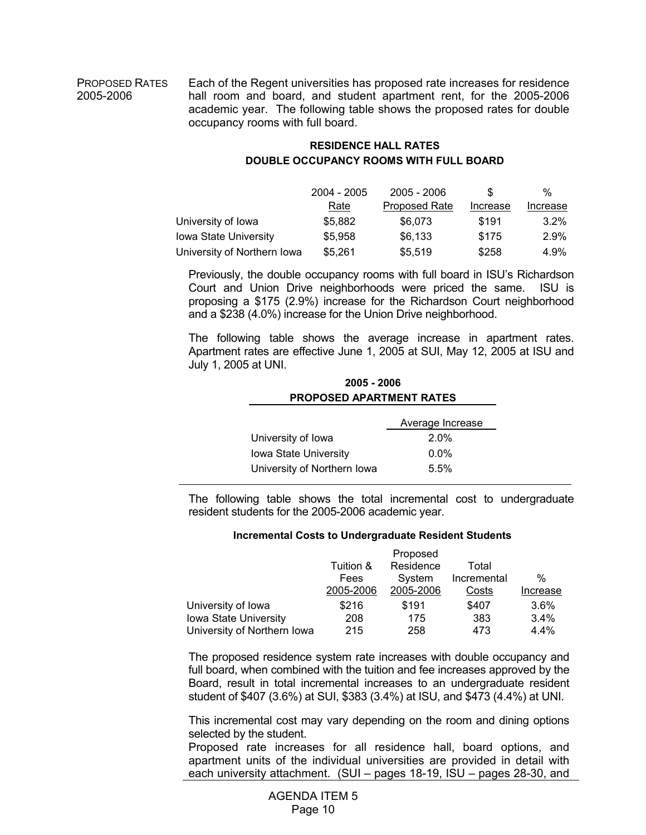PROPOSED RATES 2005-2006

Each of the Regent universities has proposed rate increases for residence hall room and board, and student apartment rent, for the 2005-2006 academic year. The following table shows the proposed rates for double occupancy rooms with full board.

# **RESIDENCE HALL RATES DOUBLE OCCUPANCY ROOMS WITH FULL BOARD**

|                              | 2004 - 2005 | $2005 - 2006$        | \$.      | %        |
|------------------------------|-------------|----------------------|----------|----------|
|                              | Rate        | <b>Proposed Rate</b> | Increase | Increase |
| University of Iowa           | \$5.882     | \$6,073              | \$191    | $3.2\%$  |
| <b>Iowa State University</b> | \$5.958     | \$6,133              | \$175    | 2.9%     |
| University of Northern Iowa  | \$5,261     | \$5,519              | \$258    | 4.9%     |

 Previously, the double occupancy rooms with full board in ISU's Richardson Court and Union Drive neighborhoods were priced the same. ISU is proposing a \$175 (2.9%) increase for the Richardson Court neighborhood and a \$238 (4.0%) increase for the Union Drive neighborhood.

 The following table shows the average increase in apartment rates. Apartment rates are effective June 1, 2005 at SUI, May 12, 2005 at ISU and July 1, 2005 at UNI.

# **2005 - 2006 PROPOSED APARTMENT RATES**

|                              | Average Increase |
|------------------------------|------------------|
| University of Iowa           | $2.0\%$          |
| <b>Iowa State University</b> | $0.0\%$          |
| University of Northern Iowa  | 5.5%             |

 The following table shows the total incremental cost to undergraduate resident students for the 2005-2006 academic year.

#### **Incremental Costs to Undergraduate Resident Students**

|                              |           | Proposed  |             |          |
|------------------------------|-----------|-----------|-------------|----------|
|                              | Tuition & | Residence | Total       |          |
|                              | Fees      | System    | Incremental | $\%$     |
|                              | 2005-2006 | 2005-2006 | Costs       | Increase |
| University of Iowa           | \$216     | \$191     | \$407       | 3.6%     |
| <b>Iowa State University</b> | 208       | 175       | 383         | $3.4\%$  |
| University of Northern Iowa  | 215       | 258       | 473         | $4.4\%$  |

 The proposed residence system rate increases with double occupancy and full board, when combined with the tuition and fee increases approved by the Board, result in total incremental increases to an undergraduate resident student of \$407 (3.6%) at SUI, \$383 (3.4%) at ISU, and \$473 (4.4%) at UNI.

This incremental cost may vary depending on the room and dining options selected by the student.

 Proposed rate increases for all residence hall, board options, and apartment units of the individual universities are provided in detail with each university attachment. (SUI – pages 18-19, ISU – pages 28-30, and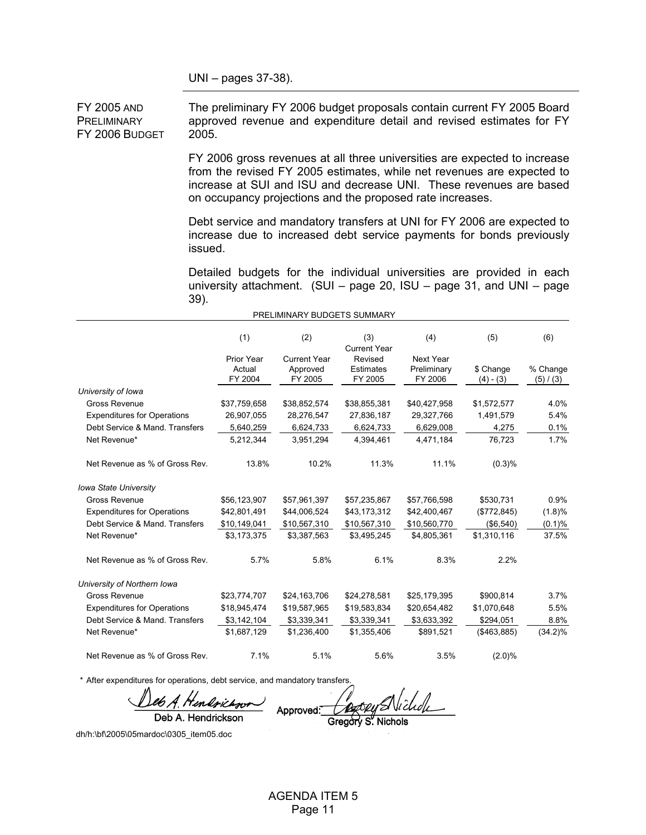UNI – pages 37-38).

FY 2005 AND **PRELIMINARY** FY 2006 BUDGET 2005.

The preliminary FY 2006 budget proposals contain current FY 2005 Board approved revenue and expenditure detail and revised estimates for FY

FY 2006 gross revenues at all three universities are expected to increase from the revised FY 2005 estimates, while net revenues are expected to increase at SUI and ISU and decrease UNI. These revenues are based on occupancy projections and the proposed rate increases.

Debt service and mandatory transfers at UNI for FY 2006 are expected to increase due to increased debt service payments for bonds previously issued.

Detailed budgets for the individual universities are provided in each university attachment. (SUI – page 20, ISU – page 31, and UNI – page 39).

|                                    |                                 | PRELIMINARY BUDGETS SUMMARY                |                                        |                                     |                          |                       |
|------------------------------------|---------------------------------|--------------------------------------------|----------------------------------------|-------------------------------------|--------------------------|-----------------------|
|                                    | (1)                             | (2)                                        | (3)<br><b>Current Year</b>             | (4)                                 | (5)                      | (6)                   |
|                                    | Prior Year<br>Actual<br>FY 2004 | <b>Current Year</b><br>Approved<br>FY 2005 | Revised<br><b>Estimates</b><br>FY 2005 | Next Year<br>Preliminary<br>FY 2006 | \$ Change<br>$(4) - (3)$ | % Change<br>(5) / (3) |
| University of Iowa                 |                                 |                                            |                                        |                                     |                          |                       |
| Gross Revenue                      | \$37,759,658                    | \$38,852,574                               | \$38,855,381                           | \$40,427,958                        | \$1,572,577              | 4.0%                  |
| <b>Expenditures for Operations</b> | 26,907,055                      | 28,276,547                                 | 27,836,187                             | 29,327,766                          | 1,491,579                | 5.4%                  |
| Debt Service & Mand. Transfers     | 5,640,259                       | 6,624,733                                  | 6,624,733                              | 6,629,008                           | 4,275                    | 0.1%                  |
| Net Revenue*                       | 5,212,344                       | 3,951,294                                  | 4,394,461                              | 4,471,184                           | 76,723                   | 1.7%                  |
| Net Revenue as % of Gross Rev.     | 13.8%                           | 10.2%                                      | 11.3%                                  | 11.1%                               | (0.3)%                   |                       |
| <b>Iowa State University</b>       |                                 |                                            |                                        |                                     |                          |                       |
| Gross Revenue                      | \$56,123,907                    | \$57,961,397                               | \$57,235,867                           | \$57,766,598                        | \$530,731                | 0.9%                  |
| <b>Expenditures for Operations</b> | \$42,801,491                    | \$44,006,524                               | \$43,173,312                           | \$42,400,467                        | (\$772,845)              | (1.8)%                |
| Debt Service & Mand. Transfers     | \$10,149,041                    | \$10,567,310                               | \$10,567,310                           | \$10,560,770                        | (\$6,540)                | $(0.1)\%$             |
| Net Revenue*                       | \$3,173,375                     | \$3,387,563                                | \$3,495,245                            | \$4,805,361                         | \$1,310,116              | 37.5%                 |
| Net Revenue as % of Gross Rev.     | 5.7%                            | 5.8%                                       | 6.1%                                   | 8.3%                                | 2.2%                     |                       |
| University of Northern Iowa        |                                 |                                            |                                        |                                     |                          |                       |
| Gross Revenue                      | \$23,774,707                    | \$24,163,706                               | \$24,278,581                           | \$25,179,395                        | \$900,814                | 3.7%                  |
| <b>Expenditures for Operations</b> | \$18,945,474                    | \$19,587,965                               | \$19,583,834                           | \$20,654,482                        | \$1,070,648              | 5.5%                  |
| Debt Service & Mand. Transfers     | \$3,142,104                     | \$3,339,341                                | \$3,339,341                            | \$3,633,392                         | \$294,051                | 8.8%                  |
| Net Revenue*                       | \$1,687,129                     | \$1,236,400                                | \$1,355,406                            | \$891,521                           | ( \$463, 885)            | $(34.2)\%$            |
| Net Revenue as % of Gross Rev.     | 7.1%                            | 5.1%                                       | 5.6%                                   | 3.5%                                | $(2.0)\%$                |                       |

\* After expenditures for operations, debt service, and mandatory transfers.

eb A. Hendrichnor

Deb A. Hendrickson

Approved: Gregory

dh/h:\bf\2005\05mardoc\0305\_item05.doc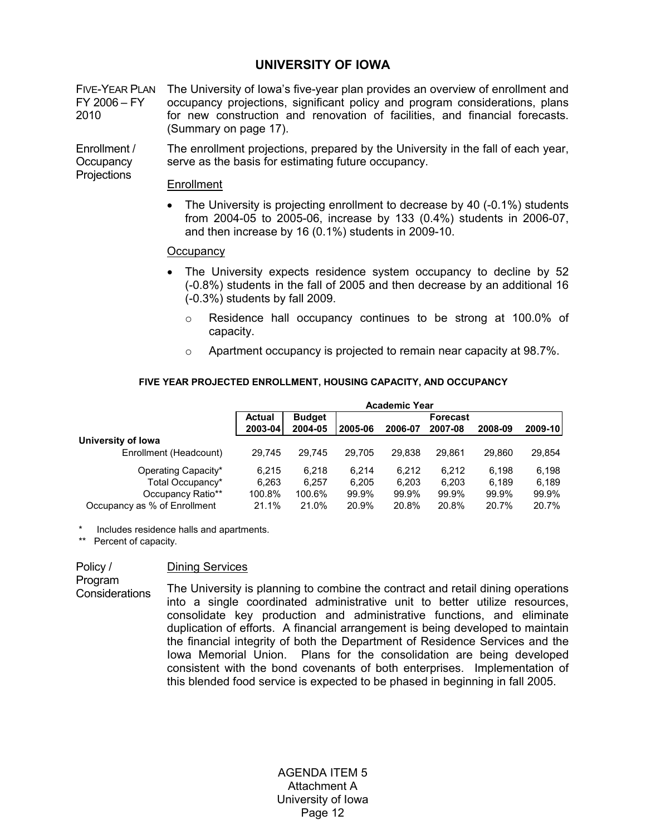# **UNIVERSITY OF IOWA**

FIVE-YEAR PLAN The University of Iowa's five-year plan provides an overview of enrollment and FY 2006 – FY 2010 occupancy projections, significant policy and program considerations, plans for new construction and renovation of facilities, and financial forecasts. (Summary on page 17).

Enrollment / **Occupancy** The enrollment projections, prepared by the University in the fall of each year, serve as the basis for estimating future occupancy.

## Enrollment

• The University is projecting enrollment to decrease by 40 (-0.1%) students from 2004-05 to 2005-06, increase by 133 (0.4%) students in 2006-07, and then increase by 16 (0.1%) students in 2009-10.

#### **Occupancy**

- The University expects residence system occupancy to decline by 52 (-0.8%) students in the fall of 2005 and then decrease by an additional 16 (-0.3%) students by fall 2009.
	- o Residence hall occupancy continues to be strong at 100.0% of capacity.

21.1% 21.0% 20.9% 20.8% 20.8% 20.7% 20.7%

 $\circ$  Apartment occupancy is projected to remain near capacity at 98.7%.

# **Budget Actual Forecast 2003-04 2004-05 2005-06 2006-07 2007-08 2008-09 2009-10 University of Iowa** Enrollment (Headcount) 29,745 29,745 29,705 29,838 29,861 29,860 29,854 Operating Capacity\* 6,215 6,218 6,214 6,212 6,212 6,198 6,198 Total Occupancy\* 6,263 6,257 6,205 6,203 6,203 6,189 6,189 Occupancy Ratio\*\* 100.8% 100.6% 99.9% 99.9% 99.9% 99.9% 99.9% **Academic Year**

#### **FIVE YEAR PROJECTED ENROLLMENT, HOUSING CAPACITY, AND OCCUPANCY**

Includes residence halls and apartments.

Occupancy as % of Enrollment

\*\* Percent of capacity.

#### Dining Services

Program **Considerations** 

Policy /

**Projections** 

The University is planning to combine the contract and retail dining operations into a single coordinated administrative unit to better utilize resources, consolidate key production and administrative functions, and eliminate duplication of efforts. A financial arrangement is being developed to maintain the financial integrity of both the Department of Residence Services and the Iowa Memorial Union. Plans for the consolidation are being developed consistent with the bond covenants of both enterprises. Implementation of this blended food service is expected to be phased in beginning in fall 2005.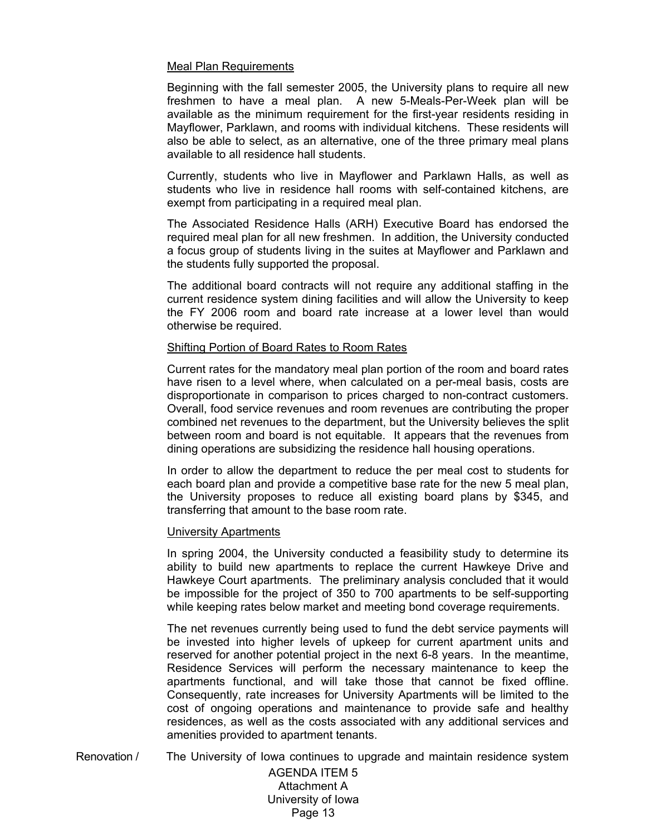# Meal Plan Requirements

Beginning with the fall semester 2005, the University plans to require all new freshmen to have a meal plan. A new 5-Meals-Per-Week plan will be available as the minimum requirement for the first-year residents residing in Mayflower, Parklawn, and rooms with individual kitchens. These residents will also be able to select, as an alternative, one of the three primary meal plans available to all residence hall students.

Currently, students who live in Mayflower and Parklawn Halls, as well as students who live in residence hall rooms with self-contained kitchens, are exempt from participating in a required meal plan.

The Associated Residence Halls (ARH) Executive Board has endorsed the required meal plan for all new freshmen. In addition, the University conducted a focus group of students living in the suites at Mayflower and Parklawn and the students fully supported the proposal.

The additional board contracts will not require any additional staffing in the current residence system dining facilities and will allow the University to keep the FY 2006 room and board rate increase at a lower level than would otherwise be required.

## Shifting Portion of Board Rates to Room Rates

Current rates for the mandatory meal plan portion of the room and board rates have risen to a level where, when calculated on a per-meal basis, costs are disproportionate in comparison to prices charged to non-contract customers. Overall, food service revenues and room revenues are contributing the proper combined net revenues to the department, but the University believes the split between room and board is not equitable. It appears that the revenues from dining operations are subsidizing the residence hall housing operations.

In order to allow the department to reduce the per meal cost to students for each board plan and provide a competitive base rate for the new 5 meal plan, the University proposes to reduce all existing board plans by \$345, and transferring that amount to the base room rate.

## University Apartments

In spring 2004, the University conducted a feasibility study to determine its ability to build new apartments to replace the current Hawkeye Drive and Hawkeye Court apartments. The preliminary analysis concluded that it would be impossible for the project of 350 to 700 apartments to be self-supporting while keeping rates below market and meeting bond coverage requirements.

 The net revenues currently being used to fund the debt service payments will be invested into higher levels of upkeep for current apartment units and reserved for another potential project in the next 6-8 years. In the meantime, Residence Services will perform the necessary maintenance to keep the apartments functional, and will take those that cannot be fixed offline. Consequently, rate increases for University Apartments will be limited to the cost of ongoing operations and maintenance to provide safe and healthy residences, as well as the costs associated with any additional services and amenities provided to apartment tenants.

Renovation / The University of Iowa continues to upgrade and maintain residence system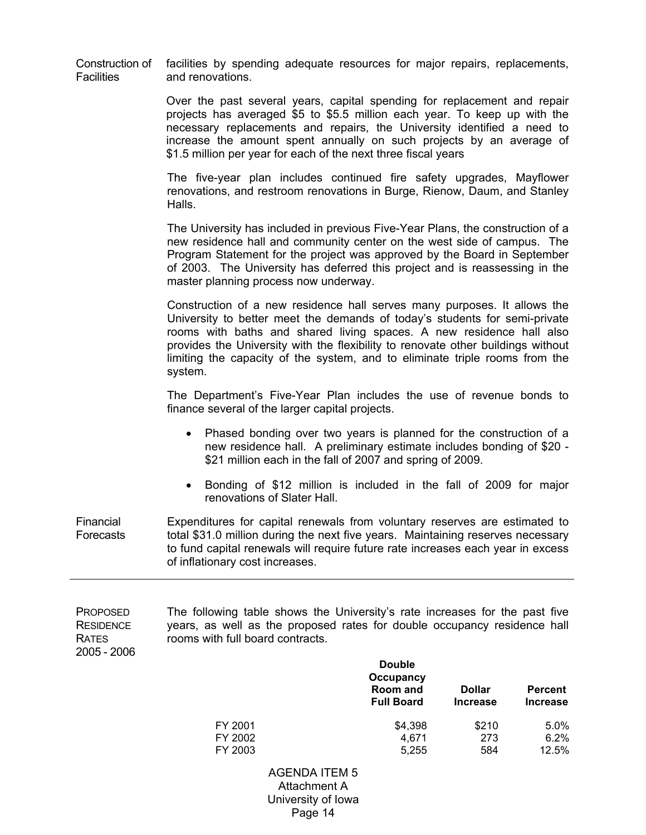|                   | Construction of facilities by spending adequate resources for major repairs, replacements, |  |  |
|-------------------|--------------------------------------------------------------------------------------------|--|--|
| <b>Facilities</b> | and renovations.                                                                           |  |  |

Over the past several years, capital spending for replacement and repair projects has averaged \$5 to \$5.5 million each year. To keep up with the necessary replacements and repairs, the University identified a need to increase the amount spent annually on such projects by an average of \$1.5 million per year for each of the next three fiscal years

The five-year plan includes continued fire safety upgrades, Mayflower renovations, and restroom renovations in Burge, Rienow, Daum, and Stanley Halls.

The University has included in previous Five-Year Plans, the construction of a new residence hall and community center on the west side of campus. The Program Statement for the project was approved by the Board in September of 2003. The University has deferred this project and is reassessing in the master planning process now underway.

Construction of a new residence hall serves many purposes. It allows the University to better meet the demands of today's students for semi-private rooms with baths and shared living spaces. A new residence hall also provides the University with the flexibility to renovate other buildings without limiting the capacity of the system, and to eliminate triple rooms from the system.

 The Department's Five-Year Plan includes the use of revenue bonds to finance several of the larger capital projects.

- Phased bonding over two years is planned for the construction of a new residence hall. A preliminary estimate includes bonding of \$20 - \$21 million each in the fall of 2007 and spring of 2009.
- Bonding of \$12 million is included in the fall of 2009 for major renovations of Slater Hall.

Financial Forecasts Expenditures for capital renewals from voluntary reserves are estimated to total \$31.0 million during the next five years. Maintaining reserves necessary to fund capital renewals will require future rate increases each year in excess of inflationary cost increases.

PROPOSED **RESIDENCE** RATES 2005 - 2006 The following table shows the University's rate increases for the past five years, as well as the proposed rates for double occupancy residence hall rooms with full board contracts.

|         | <b>Double</b><br>Occupancy<br>Room and<br><b>Full Board</b> | <b>Dollar</b><br><b>Increase</b> | <b>Percent</b><br><b>Increase</b> |
|---------|-------------------------------------------------------------|----------------------------------|-----------------------------------|
| FY 2001 | \$4,398                                                     | \$210                            | 5.0%                              |
| FY 2002 | 4,671                                                       | 273                              | 6.2%                              |
| FY 2003 | 5,255                                                       | 584                              | 12.5%                             |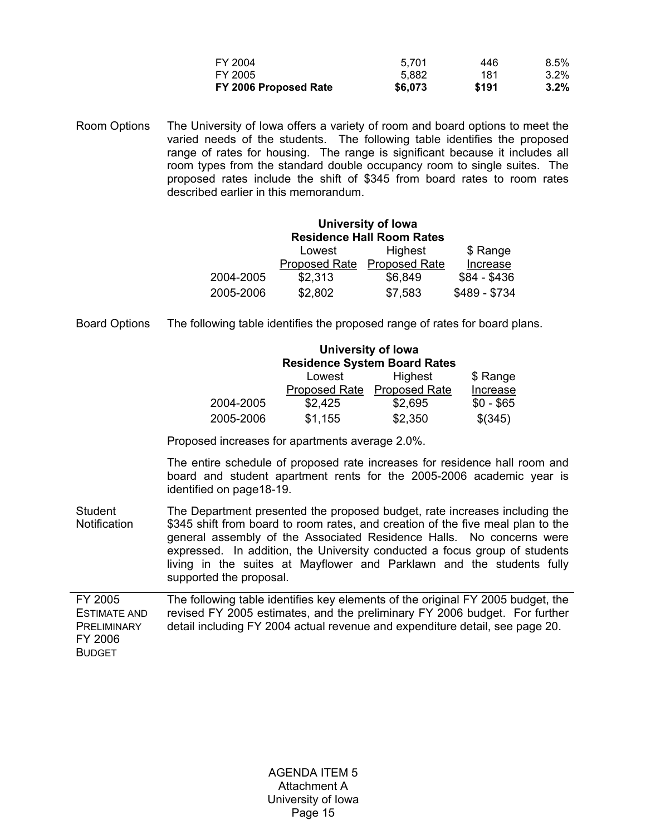| \$6,073 | \$191 | $3.2\%$ |
|---------|-------|---------|
| 5.882   | 181   | $3.2\%$ |
| 5.701   | 446   | $8.5\%$ |
|         |       |         |

Room Options The University of Iowa offers a variety of room and board options to meet the varied needs of the students. The following table identifies the proposed range of rates for housing. The range is significant because it includes all room types from the standard double occupancy room to single suites. The proposed rates include the shift of \$345 from board rates to room rates described earlier in this memorandum.

#### **University of Iowa Residence Hall Room Rates**

|           | Lowest               | Highest              | \$ Range      |
|-----------|----------------------|----------------------|---------------|
|           | <b>Proposed Rate</b> | <b>Proposed Rate</b> | Increase      |
| 2004-2005 | \$2,313              | \$6,849              | \$84 - \$436  |
| 2005-2006 | \$2,802              | \$7,583              | \$489 - \$734 |

Board Options The following table identifies the proposed range of rates for board plans.

| University of Iowa                  |         |                             |            |  |  |  |  |
|-------------------------------------|---------|-----------------------------|------------|--|--|--|--|
| <b>Residence System Board Rates</b> |         |                             |            |  |  |  |  |
|                                     | Lowest  | Highest                     | \$ Range   |  |  |  |  |
|                                     |         | Proposed Rate Proposed Rate | Increase   |  |  |  |  |
| 2004-2005                           | \$2,425 | \$2,695                     | $$0 - $65$ |  |  |  |  |
| 2005-2006                           | \$1,155 | \$2,350                     | \$(345)    |  |  |  |  |

Proposed increases for apartments average 2.0%.

The entire schedule of proposed rate increases for residence hall room and board and student apartment rents for the 2005-2006 academic year is identified on page18-19.

Student **Notification** The Department presented the proposed budget, rate increases including the \$345 shift from board to room rates, and creation of the five meal plan to the general assembly of the Associated Residence Halls. No concerns were expressed. In addition, the University conducted a focus group of students living in the suites at Mayflower and Parklawn and the students fully supported the proposal.

FY 2005 ESTIMATE AND **PRELIMINARY** FY 2006 BUDGET The following table identifies key elements of the original FY 2005 budget, the revised FY 2005 estimates, and the preliminary FY 2006 budget. For further detail including FY 2004 actual revenue and expenditure detail, see page 20.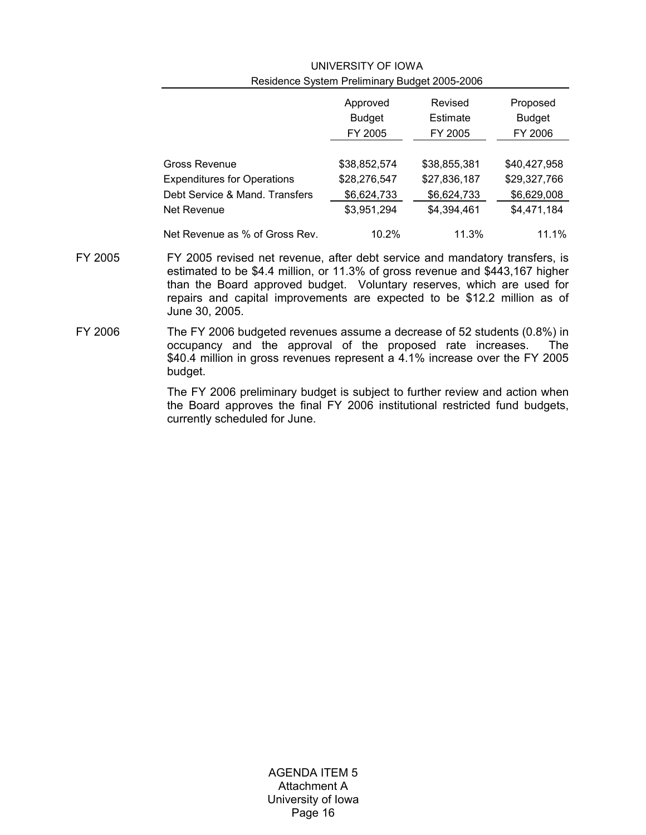|                                    | Approved      | Revised      | Proposed      |  |  |  |  |  |
|------------------------------------|---------------|--------------|---------------|--|--|--|--|--|
|                                    | <b>Budget</b> | Estimate     | <b>Budget</b> |  |  |  |  |  |
|                                    | FY 2005       | FY 2005      | FY 2006       |  |  |  |  |  |
|                                    |               |              |               |  |  |  |  |  |
| Gross Revenue                      | \$38,852,574  | \$38,855,381 | \$40,427,958  |  |  |  |  |  |
| <b>Expenditures for Operations</b> | \$28,276,547  | \$27,836,187 | \$29,327,766  |  |  |  |  |  |
| Debt Service & Mand. Transfers     | \$6,624,733   | \$6,624,733  | \$6,629,008   |  |  |  |  |  |
| Net Revenue                        | \$3,951,294   | \$4,394,461  | \$4,471,184   |  |  |  |  |  |
| Net Revenue as % of Gross Rev.     | 10.2%         | 11.3%        | 11.1%         |  |  |  |  |  |

# UNIVERSITY OF IOWA Residence System Preliminary Budget 2005-2006

- FY 2005 FY 2005 revised net revenue, after debt service and mandatory transfers, is estimated to be \$4.4 million, or 11.3% of gross revenue and \$443,167 higher than the Board approved budget. Voluntary reserves, which are used for repairs and capital improvements are expected to be \$12.2 million as of June 30, 2005.
- FY 2006 The FY 2006 budgeted revenues assume a decrease of 52 students (0.8%) in occupancy and the approval of the proposed rate increases. The \$40.4 million in gross revenues represent a 4.1% increase over the FY 2005 budget.

 The FY 2006 preliminary budget is subject to further review and action when the Board approves the final FY 2006 institutional restricted fund budgets, currently scheduled for June.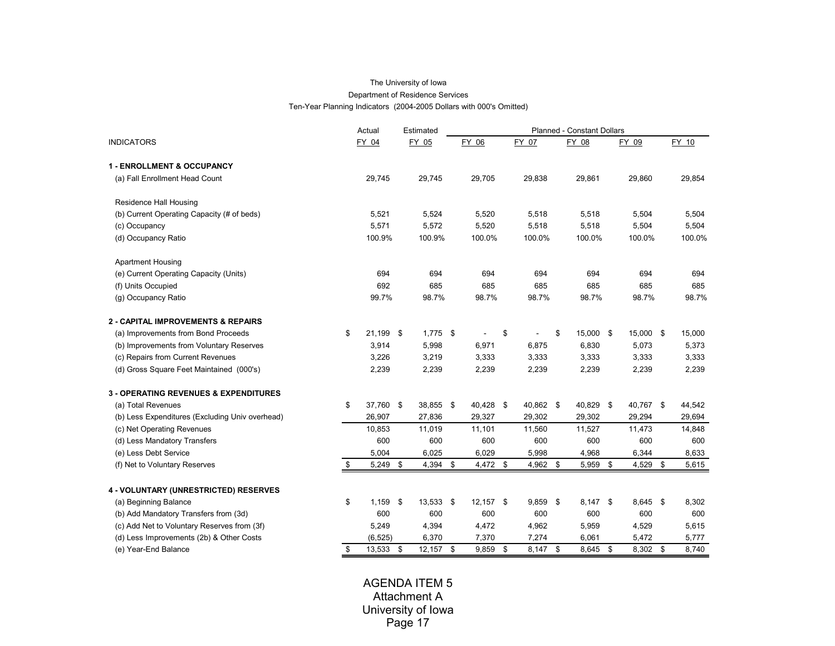#### The University of Iowa Department of Residence Services Ten-Year Planning Indicators (2004-2005 Dollars with 000's Omitted)

|                                                  | Actual          |     | Estimated   |                |                  | Planned - Constant Dollars |                  |             |
|--------------------------------------------------|-----------------|-----|-------------|----------------|------------------|----------------------------|------------------|-------------|
| <b>INDICATORS</b>                                | FY 04           |     | FY 05       | FY 06          | FY 07            | FY 08                      | FY 09            | FY 10       |
| <b>1 - ENROLLMENT &amp; OCCUPANCY</b>            |                 |     |             |                |                  |                            |                  |             |
| (a) Fall Enrollment Head Count                   | 29,745          |     | 29,745      | 29,705         | 29,838           | 29,861                     | 29,860           | 29,854      |
| Residence Hall Housing                           |                 |     |             |                |                  |                            |                  |             |
| (b) Current Operating Capacity (# of beds)       | 5,521           |     | 5,524       | 5,520          | 5,518            | 5,518                      | 5,504            | 5,504       |
| (c) Occupancy                                    | 5,571           |     | 5,572       | 5,520          | 5,518            | 5,518                      | 5,504            | 5,504       |
| (d) Occupancy Ratio                              | 100.9%          |     | 100.9%      | 100.0%         | 100.0%           | 100.0%                     | 100.0%           | 100.0%      |
| <b>Apartment Housing</b>                         |                 |     |             |                |                  |                            |                  |             |
| (e) Current Operating Capacity (Units)           | 694             |     | 694         | 694            | 694              | 694                        | 694              | 694         |
| (f) Units Occupied                               | 692             |     | 685         | 685            | 685              | 685                        | 685              | 685         |
| (g) Occupancy Ratio                              | 99.7%           |     | 98.7%       | 98.7%          | 98.7%            | 98.7%                      | 98.7%            | 98.7%       |
| <b>2 - CAPITAL IMPROVEMENTS &amp; REPAIRS</b>    |                 |     |             |                |                  |                            |                  |             |
| (a) Improvements from Bond Proceeds              | \$<br>21,199 \$ |     | $1,775$ \$  |                | \$               | \$<br>15,000 \$            | 15,000 \$        | 15,000      |
| (b) Improvements from Voluntary Reserves         | 3,914           |     | 5,998       | 6,971          | 6,875            | 6,830                      | 5,073            | 5,373       |
| (c) Repairs from Current Revenues                | 3,226           |     | 3,219       | 3,333          | 3,333            | 3,333                      | 3,333            | 3,333       |
| (d) Gross Square Feet Maintained (000's)         | 2,239           |     | 2,239       | 2,239          | 2,239            | 2,239                      | 2,239            | 2,239       |
| <b>3 - OPERATING REVENUES &amp; EXPENDITURES</b> |                 |     |             |                |                  |                            |                  |             |
| (a) Total Revenues                               | \$<br>37,760 \$ |     | 38,855 \$   | 40,428 \$      | 40,862 \$        | 40,829 \$                  | 40,767 \$        | 44,542      |
| (b) Less Expenditures (Excluding Univ overhead)  | 26,907          |     | 27,836      | 29,327         | 29,302           | 29,302                     | 29,294           | 29,694      |
| (c) Net Operating Revenues                       | 10,853          |     | 11,019      | 11,101         | 11,560           | 11,527                     | 11,473           | 14,848      |
| (d) Less Mandatory Transfers                     | 600             |     | 600         | 600            | 600              | 600                        | 600              | 600         |
| (e) Less Debt Service                            | 5.004           |     | 6,025       | 6.029          | 5.998            | 4,968                      | 6,344            | 8,633       |
| (f) Net to Voluntary Reserves                    | \$<br>5,249 \$  |     | 4,394       | \$<br>4,472 \$ | 4,962 \$         | 5,959                      | \$<br>4,529      | \$<br>5,615 |
| 4 - VOLUNTARY (UNRESTRICTED) RESERVES            |                 |     |             |                |                  |                            |                  |             |
| (a) Beginning Balance                            | \$<br>1.159     | -\$ | 13,533 \$   | $12,157$ \$    | $9,859$ \$       | $8,147$ \$                 | $8,645$ \$       | 8,302       |
| (b) Add Mandatory Transfers from (3d)            | 600             |     | 600         | 600            | 600              | 600                        | 600              | 600         |
| (c) Add Net to Voluntary Reserves from (3f)      | 5,249           |     | 4,394       | 4,472          | 4,962            | 5,959                      | 4,529            | 5,615       |
| (d) Less Improvements (2b) & Other Costs         | (6, 525)        |     | 6,370       | 7,370          | 7,274            | 6,061                      | 5,472            | 5,777       |
| (e) Year-End Balance                             | 13,533          | -\$ | $12,157$ \$ | 9,859          | \$<br>$8,147$ \$ | 8,645                      | \$<br>$8,302$ \$ | 8,740       |
|                                                  |                 |     |             |                |                  |                            |                  |             |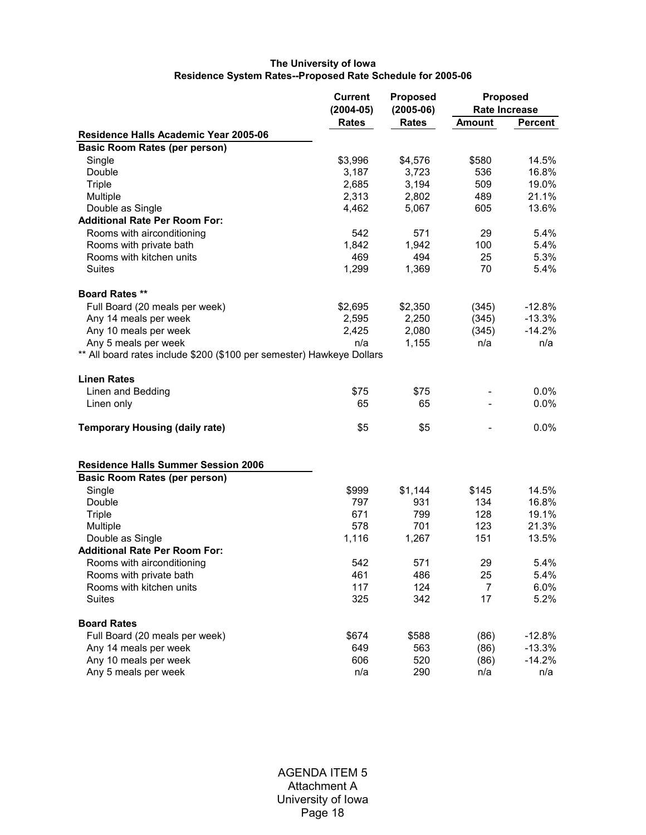## **The University of Iowa Residence System Rates--Proposed Rate Schedule for 2005-06**

|                                                                       | <b>Current</b><br>$(2004-05)$ | <b>Proposed</b><br>$(2005-06)$ | <b>Rate Increase</b> | <b>Proposed</b> |
|-----------------------------------------------------------------------|-------------------------------|--------------------------------|----------------------|-----------------|
|                                                                       | <b>Rates</b>                  | <b>Rates</b>                   | <b>Amount</b>        | <b>Percent</b>  |
| Residence Halls Academic Year 2005-06                                 |                               |                                |                      |                 |
| <b>Basic Room Rates (per person)</b>                                  |                               |                                |                      |                 |
| Single                                                                | \$3,996                       | \$4,576                        | \$580                | 14.5%           |
| Double                                                                | 3,187                         | 3,723                          | 536                  | 16.8%           |
| <b>Triple</b>                                                         | 2,685                         | 3,194                          | 509                  | 19.0%           |
| Multiple                                                              | 2,313                         | 2,802                          | 489                  | 21.1%           |
| Double as Single                                                      | 4,462                         | 5,067                          | 605                  | 13.6%           |
| <b>Additional Rate Per Room For:</b>                                  |                               |                                |                      |                 |
| Rooms with airconditioning                                            | 542                           | 571                            | 29                   | 5.4%            |
| Rooms with private bath                                               | 1,842                         | 1,942                          | 100                  | 5.4%            |
| Rooms with kitchen units                                              | 469                           | 494                            | 25                   | 5.3%            |
| <b>Suites</b>                                                         | 1,299                         | 1,369                          | 70                   | 5.4%            |
| <b>Board Rates **</b>                                                 |                               |                                |                      |                 |
| Full Board (20 meals per week)                                        | \$2,695                       | \$2,350                        | (345)                | $-12.8%$        |
| Any 14 meals per week                                                 | 2,595                         | 2,250                          | (345)                | $-13.3%$        |
| Any 10 meals per week                                                 | 2,425                         | 2,080                          | (345)                | $-14.2%$        |
| Any 5 meals per week                                                  | n/a                           | 1,155                          | n/a                  | n/a             |
| ** All board rates include \$200 (\$100 per semester) Hawkeye Dollars |                               |                                |                      |                 |
| <b>Linen Rates</b>                                                    |                               |                                |                      |                 |
| Linen and Bedding                                                     | \$75                          | \$75                           |                      | $0.0\%$         |
|                                                                       | 65                            | 65                             |                      | $0.0\%$         |
| Linen only                                                            |                               |                                |                      |                 |
| <b>Temporary Housing (daily rate)</b>                                 | \$5                           | \$5                            |                      | $0.0\%$         |
| <b>Residence Halls Summer Session 2006</b>                            |                               |                                |                      |                 |
| <b>Basic Room Rates (per person)</b>                                  |                               |                                |                      |                 |
| Single                                                                | \$999                         | \$1,144                        | \$145                | 14.5%           |
| Double                                                                | 797                           | 931                            | 134                  | 16.8%           |
| <b>Triple</b>                                                         | 671                           | 799                            | 128                  | 19.1%           |
| Multiple                                                              | 578                           | 701                            | 123                  | 21.3%           |
| Double as Single                                                      | 1,116                         | 1,267                          | 151                  | 13.5%           |
| <b>Additional Rate Per Room For:</b>                                  |                               |                                |                      |                 |
| Rooms with airconditioning                                            | 542                           | 571                            | 29                   | 5.4%            |
| Rooms with private bath                                               | 461                           | 486                            | 25                   | 5.4%            |
| Rooms with kitchen units                                              | 117                           | 124                            | 7                    | 6.0%            |
| Suites                                                                | 325                           | 342                            | 17                   | 5.2%            |
| <b>Board Rates</b>                                                    |                               |                                |                      |                 |
| Full Board (20 meals per week)                                        | \$674                         | \$588                          | (86)                 | $-12.8%$        |
| Any 14 meals per week                                                 | 649                           | 563                            | (86)                 | $-13.3%$        |
| Any 10 meals per week                                                 | 606                           | 520                            | (86)                 | $-14.2%$        |
| Any 5 meals per week                                                  | n/a                           | 290                            | n/a                  | n/a             |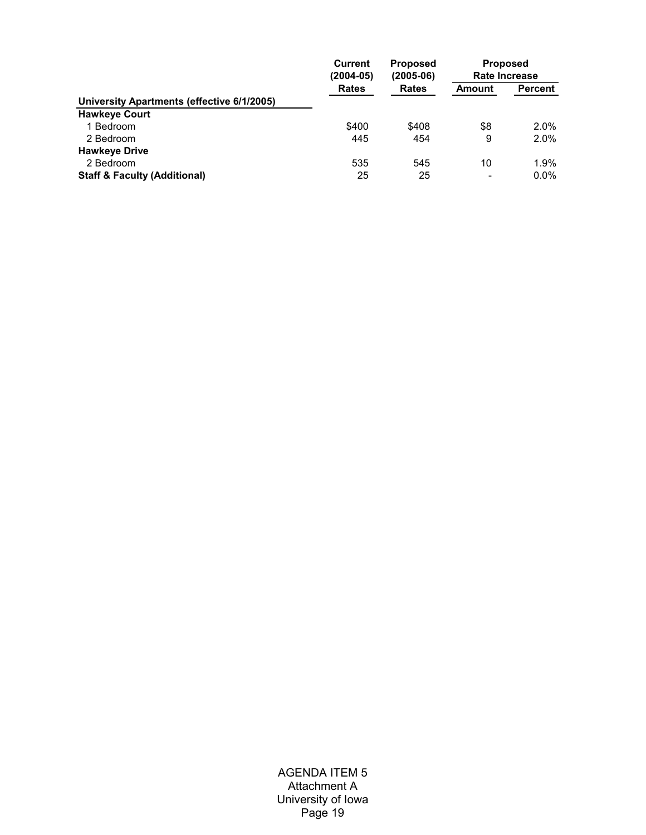|                                            | <b>Current</b><br>$(2004 - 05)$ | <b>Proposed</b><br>$(2005-06)$ | <b>Proposed</b><br>Rate Increase |         |  |  |
|--------------------------------------------|---------------------------------|--------------------------------|----------------------------------|---------|--|--|
|                                            | <b>Rates</b>                    | <b>Rates</b>                   | Amount                           | Percent |  |  |
| University Apartments (effective 6/1/2005) |                                 |                                |                                  |         |  |  |
| <b>Hawkeye Court</b>                       |                                 |                                |                                  |         |  |  |
| 1 Bedroom                                  | \$400                           | \$408                          | \$8                              | $2.0\%$ |  |  |
| 2 Bedroom                                  | 445                             | 454                            | 9                                | $2.0\%$ |  |  |
| <b>Hawkeye Drive</b>                       |                                 |                                |                                  |         |  |  |
| 2 Bedroom                                  | 535                             | 545                            | 10                               | 1.9%    |  |  |
| <b>Staff &amp; Faculty (Additional)</b>    | 25                              | 25                             | -                                | $0.0\%$ |  |  |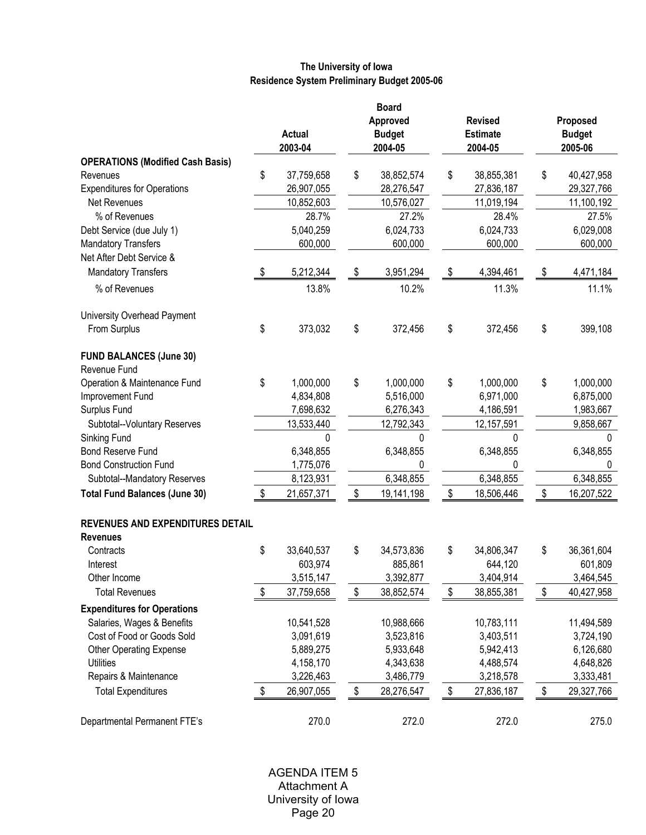# **The University of Iowa Residence System Preliminary Budget 2005-06**

|                                                     | <b>Board</b> |               |    |               |                  |               |              |  |  |
|-----------------------------------------------------|--------------|---------------|----|---------------|------------------|---------------|--------------|--|--|
|                                                     |              |               |    | Approved      | <b>Revised</b>   | Proposed      |              |  |  |
|                                                     |              | <b>Actual</b> |    | <b>Budget</b> | <b>Estimate</b>  | <b>Budget</b> |              |  |  |
|                                                     |              | 2003-04       |    | 2004-05       | 2004-05          |               | 2005-06      |  |  |
| <b>OPERATIONS (Modified Cash Basis)</b>             |              |               |    |               |                  |               |              |  |  |
| Revenues                                            | \$           | 37,759,658    | \$ | 38,852,574    | \$<br>38,855,381 | \$            | 40,427,958   |  |  |
| <b>Expenditures for Operations</b>                  |              | 26,907,055    |    | 28,276,547    | 27,836,187       |               | 29,327,766   |  |  |
| Net Revenues                                        |              | 10,852,603    |    | 10,576,027    | 11,019,194       |               | 11,100,192   |  |  |
| % of Revenues                                       |              | 28.7%         |    | 27.2%         | 28.4%            |               | 27.5%        |  |  |
| Debt Service (due July 1)                           |              | 5,040,259     |    | 6,024,733     | 6,024,733        |               | 6,029,008    |  |  |
| <b>Mandatory Transfers</b>                          |              | 600,000       |    | 600,000       | 600,000          |               | 600,000      |  |  |
| Net After Debt Service &                            |              |               |    |               |                  |               |              |  |  |
| <b>Mandatory Transfers</b>                          | \$           | 5,212,344     | \$ | 3,951,294     | \$<br>4,394,461  | \$            | 4,471,184    |  |  |
| % of Revenues                                       |              | 13.8%         |    | 10.2%         | 11.3%            |               | 11.1%        |  |  |
| University Overhead Payment                         |              |               |    |               |                  |               |              |  |  |
| From Surplus                                        | \$           | 373,032       | \$ | 372,456       | \$<br>372,456    | \$            | 399,108      |  |  |
| <b>FUND BALANCES (June 30)</b><br>Revenue Fund      |              |               |    |               |                  |               |              |  |  |
| Operation & Maintenance Fund                        | \$           | 1,000,000     | \$ | 1,000,000     | \$<br>1,000,000  | \$            | 1,000,000    |  |  |
| Improvement Fund                                    |              | 4,834,808     |    | 5,516,000     | 6,971,000        |               | 6,875,000    |  |  |
| Surplus Fund                                        |              | 7,698,632     |    | 6,276,343     | 4,186,591        |               | 1,983,667    |  |  |
| Subtotal--Voluntary Reserves                        |              | 13,533,440    |    | 12,792,343    | 12, 157, 591     |               | 9,858,667    |  |  |
| Sinking Fund                                        |              | 0             |    | U             | U                |               | <sup>0</sup> |  |  |
| <b>Bond Reserve Fund</b>                            |              | 6,348,855     |    | 6,348,855     | 6,348,855        |               | 6,348,855    |  |  |
| <b>Bond Construction Fund</b>                       |              | 1,775,076     |    | 0             | 0                |               | 0            |  |  |
| Subtotal--Mandatory Reserves                        |              | 8,123,931     |    | 6,348,855     | 6,348,855        |               | 6,348,855    |  |  |
| <b>Total Fund Balances (June 30)</b>                | \$           | 21,657,371    | \$ | 19,141,198    | \$<br>18,506,446 | \$            | 16,207,522   |  |  |
|                                                     |              |               |    |               |                  |               |              |  |  |
| REVENUES AND EXPENDITURES DETAIL<br><b>Revenues</b> |              |               |    |               |                  |               |              |  |  |
| Contracts                                           | \$           | 33,640,537    | \$ | 34,573,836    | \$<br>34,806,347 | \$            | 36,361,604   |  |  |
| Interest                                            |              | 603,974       |    | 885,861       | 644,120          |               | 601,809      |  |  |
| Other Income                                        |              | 3,515,147     |    | 3,392,877     | 3,404,914        |               | 3,464,545    |  |  |
| <b>Total Revenues</b>                               | \$           | 37,759,658    | \$ | 38,852,574    | \$<br>38,855,381 | \$            | 40,427,958   |  |  |
| <b>Expenditures for Operations</b>                  |              |               |    |               |                  |               |              |  |  |
| Salaries, Wages & Benefits                          |              | 10,541,528    |    | 10,988,666    | 10,783,111       |               | 11,494,589   |  |  |
| Cost of Food or Goods Sold                          |              | 3,091,619     |    | 3,523,816     | 3,403,511        |               | 3,724,190    |  |  |
| <b>Other Operating Expense</b>                      |              | 5,889,275     |    | 5,933,648     | 5,942,413        |               | 6,126,680    |  |  |
| <b>Utilities</b>                                    |              | 4,158,170     |    | 4,343,638     | 4,488,574        |               | 4,648,826    |  |  |
| Repairs & Maintenance                               |              | 3,226,463     |    | 3,486,779     | 3,218,578        |               | 3,333,481    |  |  |
|                                                     |              | 26,907,055    | \$ | 28,276,547    | \$<br>27,836,187 | \$            | 29,327,766   |  |  |
| <b>Total Expenditures</b>                           | \$           |               |    |               |                  |               |              |  |  |
| Departmental Permanent FTE's                        |              | 270.0         |    | 272.0         | 272.0            |               | 275.0        |  |  |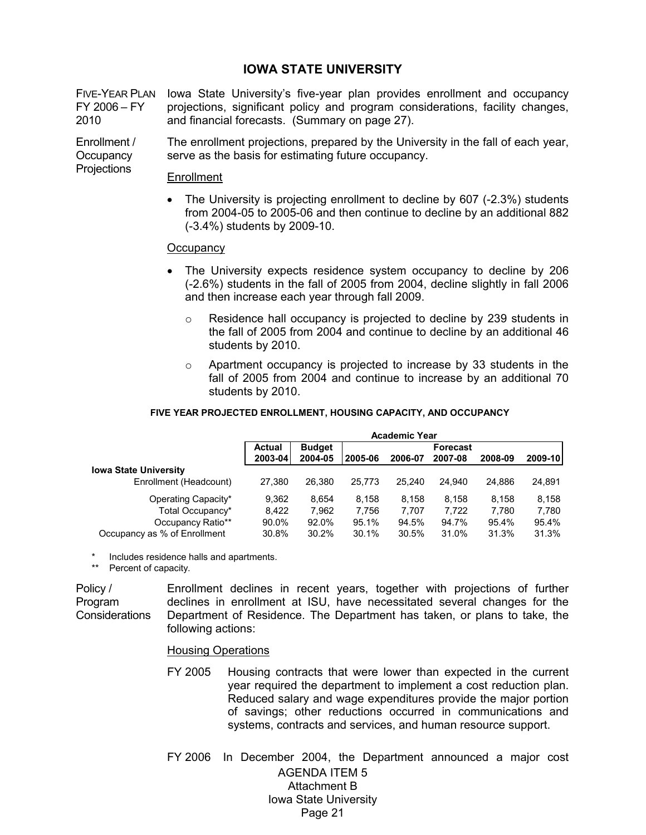# **IOWA STATE UNIVERSITY**

FIVE-YEAR PLAN FY 2006 – FY 2010 Iowa State University's five-year plan provides enrollment and occupancy projections, significant policy and program considerations, facility changes, and financial forecasts. (Summary on page 27).

Enrollment / **Occupancy Projections** The enrollment projections, prepared by the University in the fall of each year, serve as the basis for estimating future occupancy.

#### Enrollment

• The University is projecting enrollment to decline by 607 (-2.3%) students from 2004-05 to 2005-06 and then continue to decline by an additional 882 (-3.4%) students by 2009-10.

## **Occupancy**

- The University expects residence system occupancy to decline by 206 (-2.6%) students in the fall of 2005 from 2004, decline slightly in fall 2006 and then increase each year through fall 2009.
	- o Residence hall occupancy is projected to decline by 239 students in the fall of 2005 from 2004 and continue to decline by an additional 46 students by 2010.
	- $\circ$  Apartment occupancy is projected to increase by 33 students in the fall of 2005 from 2004 and continue to increase by an additional 70 students by 2010.

#### **FIVE YEAR PROJECTED ENROLLMENT, HOUSING CAPACITY, AND OCCUPANCY**

|                              |               |               |         | <b>Academic Year</b> |                 |         |         |
|------------------------------|---------------|---------------|---------|----------------------|-----------------|---------|---------|
|                              | <b>Actual</b> | <b>Budget</b> |         |                      | <b>Forecast</b> |         |         |
|                              | 2003-04       | 2004-05       | 2005-06 | 2006-07              | 2007-08         | 2008-09 | 2009-10 |
| <b>Iowa State University</b> |               |               |         |                      |                 |         |         |
| Enrollment (Headcount)       | 27.380        | 26,380        | 25.773  | 25.240               | 24.940          | 24.886  | 24,891  |
| Operating Capacity*          | 9,362         | 8.654         | 8.158   | 8.158                | 8.158           | 8.158   | 8,158   |
| Total Occupancy*             | 8.422         | 7,962         | 7.756   | 7.707                | 7.722           | 7.780   | 7,780   |
| Occupancy Ratio**            | 90.0%         | 92.0%         | 95.1%   | 94.5%                | 94.7%           | 95.4%   | 95.4%   |
| Occupancy as % of Enrollment | 30.8%         | 30.2%         | 30.1%   | 30.5%                | 31.0%           | 31.3%   | 31.3%   |

Includes residence halls and apartments.

\*\* Percent of capacity.

Policy / Program Considerations

Enrollment declines in recent years, together with projections of further declines in enrollment at ISU, have necessitated several changes for the Department of Residence. The Department has taken, or plans to take, the following actions:

#### Housing Operations

FY 2005 Housing contracts that were lower than expected in the current year required the department to implement a cost reduction plan. Reduced salary and wage expenditures provide the major portion of savings; other reductions occurred in communications and systems, contracts and services, and human resource support.

AGENDA ITEM 5 Attachment B Iowa State University Page 21 FY 2006 In December 2004, the Department announced a major cost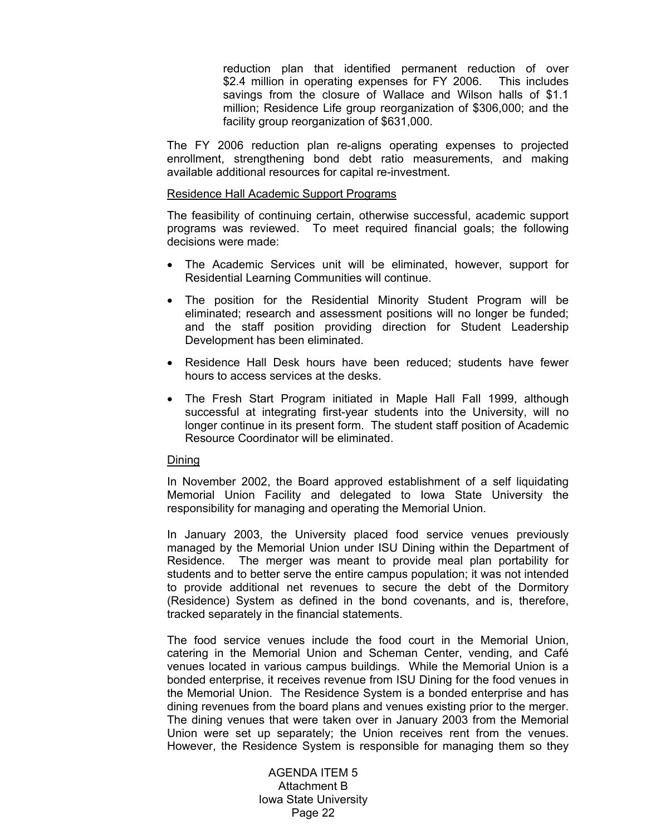reduction plan that identified permanent reduction of over \$2.4 million in operating expenses for FY 2006. This includes savings from the closure of Wallace and Wilson halls of \$1.1 million; Residence Life group reorganization of \$306,000; and the facility group reorganization of \$631,000.

The FY 2006 reduction plan re-aligns operating expenses to projected enrollment, strengthening bond debt ratio measurements, and making available additional resources for capital re-investment.

## Residence Hall Academic Support Programs

The feasibility of continuing certain, otherwise successful, academic support programs was reviewed. To meet required financial goals; the following decisions were made:

- The Academic Services unit will be eliminated, however, support for Residential Learning Communities will continue.
- The position for the Residential Minority Student Program will be eliminated; research and assessment positions will no longer be funded; and the staff position providing direction for Student Leadership Development has been eliminated.
- Residence Hall Desk hours have been reduced; students have fewer hours to access services at the desks.
- The Fresh Start Program initiated in Maple Hall Fall 1999, although successful at integrating first-year students into the University, will no longer continue in its present form. The student staff position of Academic Resource Coordinator will be eliminated.

## Dining

In November 2002, the Board approved establishment of a self liquidating Memorial Union Facility and delegated to Iowa State University the responsibility for managing and operating the Memorial Union.

In January 2003, the University placed food service venues previously managed by the Memorial Union under ISU Dining within the Department of Residence. The merger was meant to provide meal plan portability for students and to better serve the entire campus population; it was not intended to provide additional net revenues to secure the debt of the Dormitory (Residence) System as defined in the bond covenants, and is, therefore, tracked separately in the financial statements.

The food service venues include the food court in the Memorial Union, catering in the Memorial Union and Scheman Center, vending, and Café venues located in various campus buildings. While the Memorial Union is a bonded enterprise, it receives revenue from ISU Dining for the food venues in the Memorial Union. The Residence System is a bonded enterprise and has dining revenues from the board plans and venues existing prior to the merger. The dining venues that were taken over in January 2003 from the Memorial Union were set up separately; the Union receives rent from the venues. However, the Residence System is responsible for managing them so they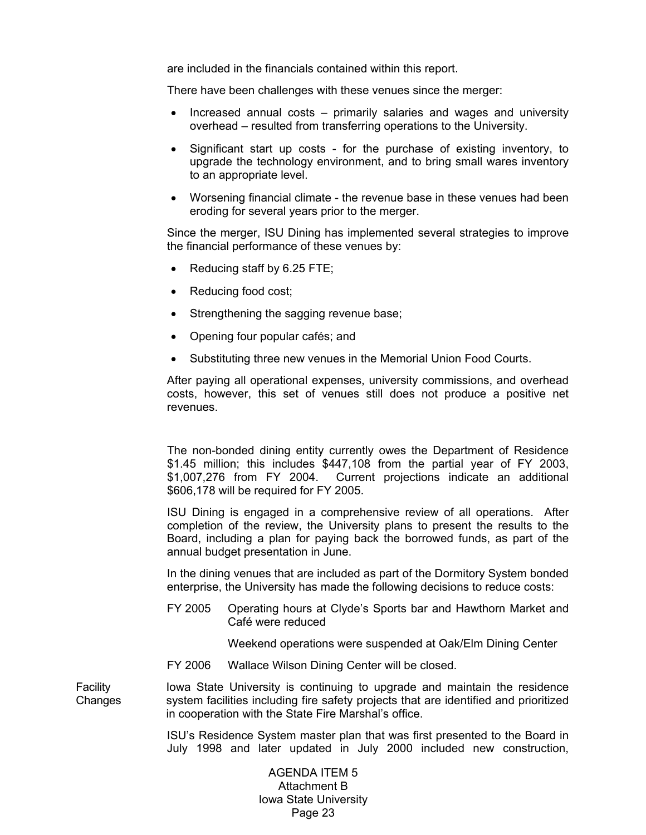are included in the financials contained within this report.

There have been challenges with these venues since the merger:

- Increased annual costs primarily salaries and wages and university overhead – resulted from transferring operations to the University.
- Significant start up costs for the purchase of existing inventory, to upgrade the technology environment, and to bring small wares inventory to an appropriate level.
- Worsening financial climate the revenue base in these venues had been eroding for several years prior to the merger.

Since the merger, ISU Dining has implemented several strategies to improve the financial performance of these venues by:

- Reducing staff by 6.25 FTE;
- Reducing food cost;
- Strengthening the sagging revenue base;
- Opening four popular cafés; and
- Substituting three new venues in the Memorial Union Food Courts.

After paying all operational expenses, university commissions, and overhead costs, however, this set of venues still does not produce a positive net revenues.

 The non-bonded dining entity currently owes the Department of Residence \$1.45 million; this includes \$447,108 from the partial year of FY 2003, \$1,007,276 from FY 2004. Current projections indicate an additional \$606,178 will be required for FY 2005.

ISU Dining is engaged in a comprehensive review of all operations. After completion of the review, the University plans to present the results to the Board, including a plan for paying back the borrowed funds, as part of the annual budget presentation in June.

In the dining venues that are included as part of the Dormitory System bonded enterprise, the University has made the following decisions to reduce costs:

FY 2005 Operating hours at Clyde's Sports bar and Hawthorn Market and Café were reduced

Weekend operations were suspended at Oak/Elm Dining Center

FY 2006 Wallace Wilson Dining Center will be closed.

Facility **Changes** Iowa State University is continuing to upgrade and maintain the residence system facilities including fire safety projects that are identified and prioritized in cooperation with the State Fire Marshal's office.

> ISU's Residence System master plan that was first presented to the Board in July 1998 and later updated in July 2000 included new construction,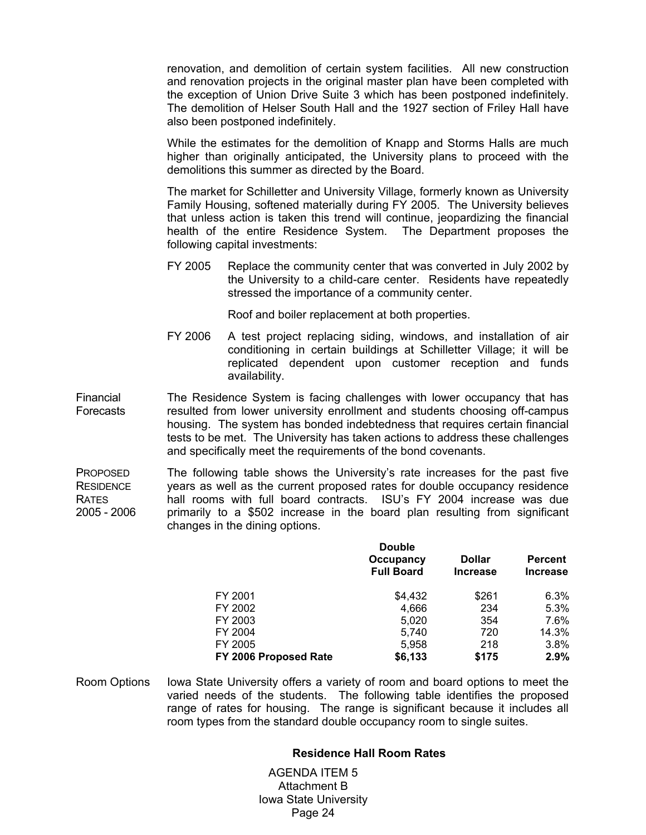renovation, and demolition of certain system facilities. All new construction and renovation projects in the original master plan have been completed with the exception of Union Drive Suite 3 which has been postponed indefinitely. The demolition of Helser South Hall and the 1927 section of Friley Hall have also been postponed indefinitely.

While the estimates for the demolition of Knapp and Storms Halls are much higher than originally anticipated, the University plans to proceed with the demolitions this summer as directed by the Board.

The market for Schilletter and University Village, formerly known as University Family Housing, softened materially during FY 2005. The University believes that unless action is taken this trend will continue, jeopardizing the financial health of the entire Residence System. The Department proposes the following capital investments:

FY 2005 Replace the community center that was converted in July 2002 by the University to a child-care center. Residents have repeatedly stressed the importance of a community center.

Roof and boiler replacement at both properties.

FY 2006 A test project replacing siding, windows, and installation of air conditioning in certain buildings at Schilletter Village; it will be replicated dependent upon customer reception and funds availability.

Financial Forecasts The Residence System is facing challenges with lower occupancy that has resulted from lower university enrollment and students choosing off-campus housing. The system has bonded indebtedness that requires certain financial tests to be met. The University has taken actions to address these challenges and specifically meet the requirements of the bond covenants.

**PROPOSED RESIDENCE** RATES 2005 - 2006 The following table shows the University's rate increases for the past five years as well as the current proposed rates for double occupancy residence hall rooms with full board contracts. ISU's FY 2004 increase was due primarily to a \$502 increase in the board plan resulting from significant changes in the dining options.

|                       | <b>Double</b><br>Occupancy<br><b>Full Board</b> | <b>Dollar</b><br><b>Increase</b> | <b>Percent</b><br><b>Increase</b> |
|-----------------------|-------------------------------------------------|----------------------------------|-----------------------------------|
| FY 2001               | \$4,432                                         | \$261                            | 6.3%                              |
| FY 2002               | 4.666                                           | 234                              | 5.3%                              |
| FY 2003               | 5,020                                           | 354                              | 7.6%                              |
| FY 2004               | 5,740                                           | 720                              | 14.3%                             |
| FY 2005               | 5,958                                           | 218                              | 3.8%                              |
| FY 2006 Proposed Rate | \$6,133                                         | \$175                            | 2.9%                              |

Room Options Iowa State University offers a variety of room and board options to meet the varied needs of the students. The following table identifies the proposed range of rates for housing. The range is significant because it includes all room types from the standard double occupancy room to single suites.

## **Residence Hall Room Rates**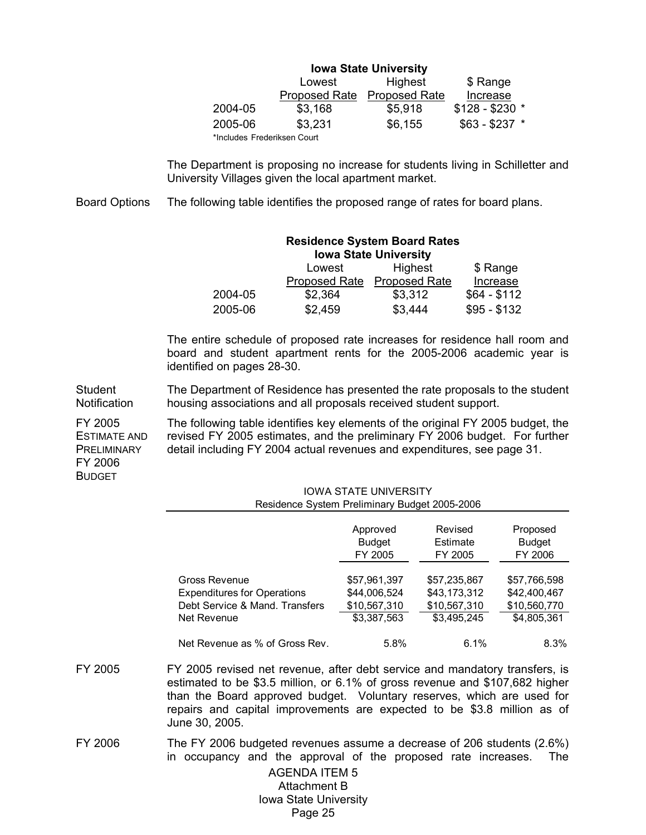| <b>Iowa State University</b> |                      |                      |                 |  |  |  |  |
|------------------------------|----------------------|----------------------|-----------------|--|--|--|--|
|                              | Lowest               | Highest              | \$ Range        |  |  |  |  |
|                              | <b>Proposed Rate</b> | <b>Proposed Rate</b> | Increase        |  |  |  |  |
| 2004-05                      | \$3,168              | \$5,918              | $$128 - $230$ * |  |  |  |  |
| 2005-06                      | \$3,231              | \$6,155              | $$63 - $237$ *  |  |  |  |  |
| *Includes Frederiksen Court  |                      |                      |                 |  |  |  |  |

 The Department is proposing no increase for students living in Schilletter and University Villages given the local apartment market.

Board Options The following table identifies the proposed range of rates for board plans.

# **Residence System Board Rates Iowa State University**  Lowest Highest \$ Range

|         | ∟∪₩◡◡   | 111411 <b>001</b>           | 4144         |
|---------|---------|-----------------------------|--------------|
|         |         | Proposed Rate Proposed Rate | Increase     |
| 2004-05 | \$2,364 | \$3,312                     | \$64 - \$112 |
| 2005-06 | \$2,459 | \$3,444                     | $$95 - $132$ |

 The entire schedule of proposed rate increases for residence hall room and board and student apartment rents for the 2005-2006 academic year is identified on pages 28-30.

**Student Notification** The Department of Residence has presented the rate proposals to the student housing associations and all proposals received student support.

FY 2005 ESTIMATE AND **PRELIMINARY** The following table identifies key elements of the original FY 2005 budget, the revised FY 2005 estimates, and the preliminary FY 2006 budget. For further detail including FY 2004 actual revenues and expenditures, see page 31.

FY 2006 BUDGET

| <b>IOWA STATE UNIVERSITY</b>                                                                                   |              |              |              |  |  |  |
|----------------------------------------------------------------------------------------------------------------|--------------|--------------|--------------|--|--|--|
| Residence System Preliminary Budget 2005-2006                                                                  |              |              |              |  |  |  |
| Revised<br>Approved<br>Proposed<br><b>Budget</b><br><b>Budget</b><br>Estimate<br>FY 2006<br>FY 2005<br>FY 2005 |              |              |              |  |  |  |
| Gross Revenue                                                                                                  | \$57,961,397 | \$57,235,867 | \$57,766,598 |  |  |  |
| <b>Expenditures for Operations</b>                                                                             | \$44,006,524 | \$43,173,312 | \$42,400,467 |  |  |  |
| Debt Service & Mand. Transfers                                                                                 | \$10,567,310 | \$10,567,310 | \$10,560,770 |  |  |  |
| Net Revenue                                                                                                    | \$3,387,563  | \$3,495,245  | \$4,805,361  |  |  |  |
| Net Revenue as % of Gross Rev.                                                                                 | 5.8%         | 6.1%         | 8.3%         |  |  |  |

FY 2005 FY 2005 revised net revenue, after debt service and mandatory transfers, is estimated to be \$3.5 million, or 6.1% of gross revenue and \$107,682 higher than the Board approved budget. Voluntary reserves, which are used for repairs and capital improvements are expected to be \$3.8 million as of June 30, 2005.

FY 2006 The FY 2006 budgeted revenues assume a decrease of 206 students (2.6%) in occupancy and the approval of the proposed rate increases. The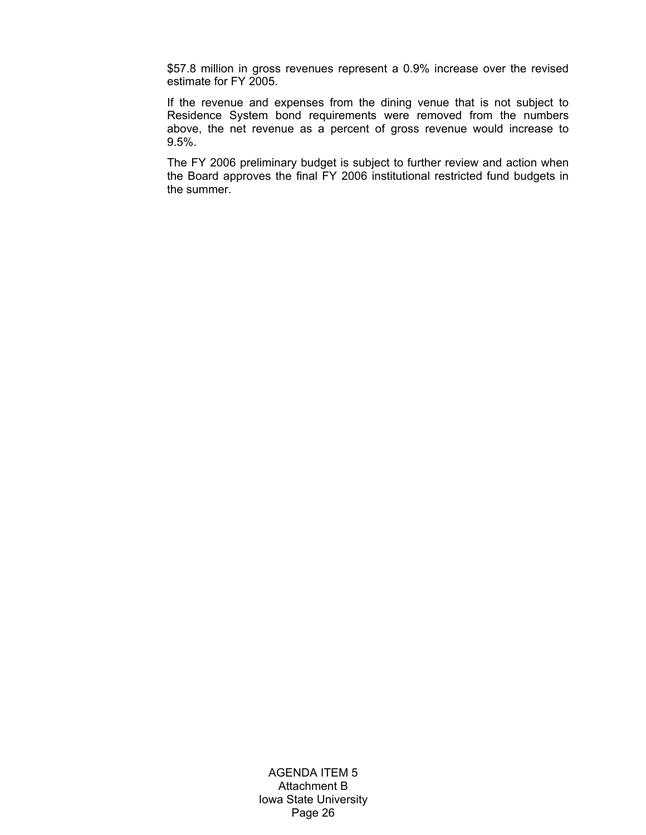\$57.8 million in gross revenues represent a 0.9% increase over the revised estimate for FY 2005.

If the revenue and expenses from the dining venue that is not subject to Residence System bond requirements were removed from the numbers above, the net revenue as a percent of gross revenue would increase to 9.5%.

 The FY 2006 preliminary budget is subject to further review and action when the Board approves the final FY 2006 institutional restricted fund budgets in the summer.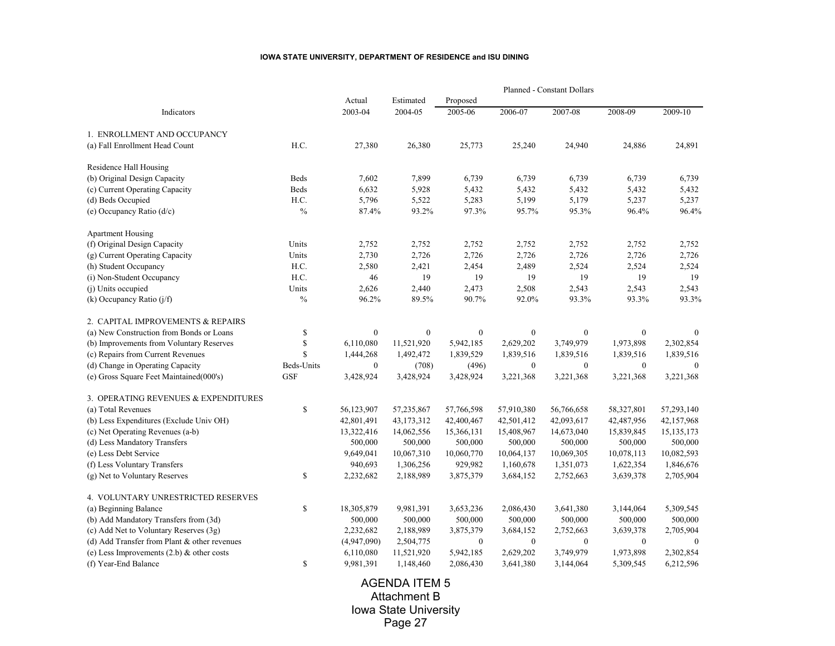#### **IOWA STATE UNIVERSITY, DEPARTMENT OF RESIDENCE and ISU DINING**

|                                              |               |                  |                  |                  |                  | Planned - Constant Dollars |              |              |
|----------------------------------------------|---------------|------------------|------------------|------------------|------------------|----------------------------|--------------|--------------|
|                                              |               | Actual           | Estimated        | Proposed         |                  |                            |              |              |
| Indicators                                   |               | 2003-04          | 2004-05          | 2005-06          | 2006-07          | 2007-08                    | 2008-09      | 2009-10      |
| 1. ENROLLMENT AND OCCUPANCY                  |               |                  |                  |                  |                  |                            |              |              |
| (a) Fall Enrollment Head Count               | H.C.          | 27,380           | 26,380           | 25,773           | 25,240           | 24,940                     | 24,886       | 24,891       |
| Residence Hall Housing                       |               |                  |                  |                  |                  |                            |              |              |
| (b) Original Design Capacity                 | <b>Beds</b>   | 7,602            | 7,899            | 6,739            | 6,739            | 6,739                      | 6,739        | 6,739        |
| (c) Current Operating Capacity               | Beds          | 6,632            | 5,928            | 5,432            | 5,432            | 5,432                      | 5,432        | 5,432        |
| (d) Beds Occupied                            | H.C.          | 5,796            | 5,522            | 5,283            | 5,199            | 5,179                      | 5,237        | 5,237        |
| (e) Occupancy Ratio (d/c)                    | $\%$          | 87.4%            | 93.2%            | 97.3%            | 95.7%            | 95.3%                      | 96.4%        | 96.4%        |
| <b>Apartment Housing</b>                     |               |                  |                  |                  |                  |                            |              |              |
| (f) Original Design Capacity                 | Units         | 2,752            | 2,752            | 2,752            | 2,752            | 2,752                      | 2,752        | 2,752        |
| (g) Current Operating Capacity               | Units         | 2,730            | 2,726            | 2,726            | 2,726            | 2,726                      | 2,726        | 2,726        |
| (h) Student Occupancy                        | H.C.          | 2,580            | 2,421            | 2,454            | 2,489            | 2,524                      | 2,524        | 2,524        |
| (i) Non-Student Occupancy                    | H.C.          | 46               | 19               | 19               | 19               | 19                         | 19           | 19           |
| (j) Units occupied                           | Units         | 2,626            | 2,440            | 2,473            | 2,508            | 2,543                      | 2,543        | 2,543        |
| (k) Occupancy Ratio $(j/f)$                  | $\frac{0}{0}$ | 96.2%            | 89.5%            | 90.7%            | 92.0%            | 93.3%                      | 93.3%        | 93.3%        |
| 2. CAPITAL IMPROVEMENTS & REPAIRS            |               |                  |                  |                  |                  |                            |              |              |
| (a) New Construction from Bonds or Loans     | \$            | $\boldsymbol{0}$ | $\boldsymbol{0}$ | $\boldsymbol{0}$ | $\boldsymbol{0}$ | $\boldsymbol{0}$           | $\bf{0}$     | $\mathbf{0}$ |
| (b) Improvements from Voluntary Reserves     | \$            | 6,110,080        | 11,521,920       | 5,942,185        | 2,629,202        | 3,749,979                  | 1,973,898    | 2,302,854    |
| (c) Repairs from Current Revenues            | \$            | 1,444,268        | 1,492,472        | 1,839,529        | 1,839,516        | 1,839,516                  | 1,839,516    | 1,839,516    |
| (d) Change in Operating Capacity             | Beds-Units    | $\boldsymbol{0}$ | (708)            | (496)            | $\boldsymbol{0}$ | $\boldsymbol{0}$           | $\bf{0}$     | $\theta$     |
| (e) Gross Square Feet Maintained(000's)      | <b>GSF</b>    | 3,428,924        | 3,428,924        | 3,428,924        | 3,221,368        | 3,221,368                  | 3,221,368    | 3,221,368    |
| 3. OPERATING REVENUES & EXPENDITURES         |               |                  |                  |                  |                  |                            |              |              |
| (a) Total Revenues                           | \$            | 56,123,907       | 57,235,867       | 57,766,598       | 57,910,380       | 56,766,658                 | 58,327,801   | 57,293,140   |
| (b) Less Expenditures (Exclude Univ OH)      |               | 42,801,491       | 43,173,312       | 42,400,467       | 42,501,412       | 42,093,617                 | 42,487,956   | 42,157,968   |
| (c) Net Operating Revenues (a-b)             |               | 13,322,416       | 14,062,556       | 15,366,131       | 15,408,967       | 14,673,040                 | 15,839,845   | 15, 135, 173 |
| (d) Less Mandatory Transfers                 |               | 500,000          | 500,000          | 500,000          | 500,000          | 500,000                    | 500,000      | 500,000      |
| (e) Less Debt Service                        |               | 9,649,041        | 10,067,310       | 10,060,770       | 10,064,137       | 10,069,305                 | 10,078,113   | 10,082,593   |
| (f) Less Voluntary Transfers                 |               | 940,693          | 1,306,256        | 929,982          | 1,160,678        | 1,351,073                  | 1,622,354    | 1,846,676    |
| (g) Net to Voluntary Reserves                | \$            | 2,232,682        | 2,188,989        | 3,875,379        | 3,684,152        | 2,752,663                  | 3,639,378    | 2,705,904    |
| 4. VOLUNTARY UNRESTRICTED RESERVES           |               |                  |                  |                  |                  |                            |              |              |
| (a) Beginning Balance                        | $\mathbb{S}$  | 18,305,879       | 9,981,391        | 3,653,236        | 2,086,430        | 3,641,380                  | 3,144,064    | 5,309,545    |
| (b) Add Mandatory Transfers from (3d)        |               | 500,000          | 500,000          | 500,000          | 500,000          | 500,000                    | 500,000      | 500,000      |
| (c) Add Net to Voluntary Reserves (3g)       |               | 2,232,682        | 2,188,989        | 3,875,379        | 3,684,152        | 2,752,663                  | 3,639,378    | 2,705,904    |
| (d) Add Transfer from Plant & other revenues |               | (4,947,090)      | 2,504,775        | $\mathbf{0}$     | $\mathbf{0}$     | $\mathbf{0}$               | $\mathbf{0}$ | $\theta$     |
| (e) Less Improvements $(2.b)$ & other costs  |               | 6,110,080        | 11,521,920       | 5,942,185        | 2,629,202        | 3,749,979                  | 1,973,898    | 2,302,854    |
| (f) Year-End Balance                         | \$            | 9,981,391        | 1,148,460        | 2,086,430        | 3,641,380        | 3,144,064                  | 5,309,545    | 6,212,596    |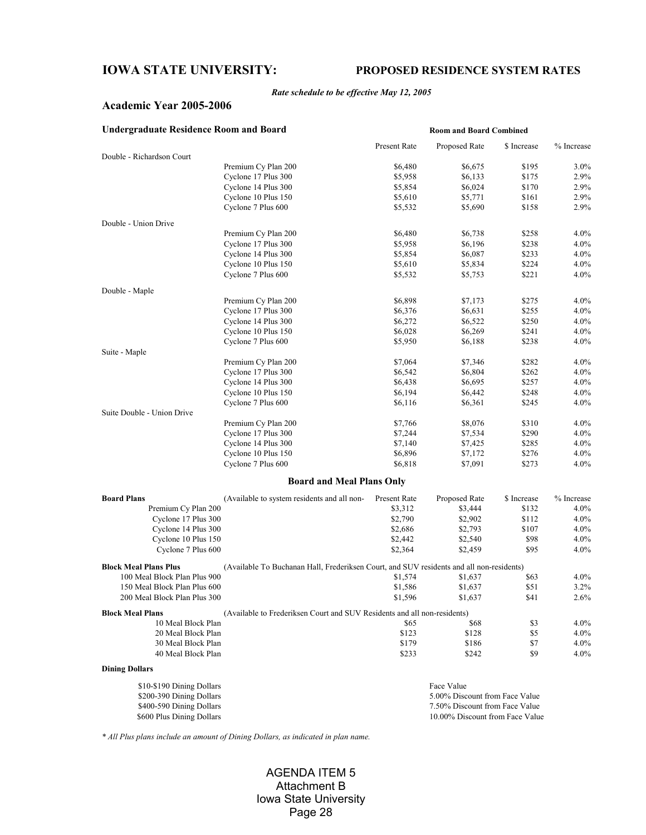# **IOWA STATE UNIVERSITY: PROPOSED RESIDENCE SYSTEM RATES**

#### *Rate schedule to be effective May 12, 2005*

## **Academic Year 2005-2006**

| <b>Undergraduate Residence Room and Board</b> |                                                                                          |              |                                |             |            |
|-----------------------------------------------|------------------------------------------------------------------------------------------|--------------|--------------------------------|-------------|------------|
|                                               |                                                                                          | Present Rate | Proposed Rate                  | \$ Increase | % Increase |
| Double - Richardson Court                     |                                                                                          |              |                                |             |            |
|                                               | Premium Cy Plan 200                                                                      | \$6,480      | \$6,675                        | \$195       | 3.0%       |
|                                               | Cyclone 17 Plus 300                                                                      | \$5,958      | \$6,133                        | \$175       | 2.9%       |
|                                               | Cyclone 14 Plus 300                                                                      | \$5,854      | \$6,024                        | \$170       | 2.9%       |
|                                               | Cyclone 10 Plus 150                                                                      | \$5,610      | \$5,771                        | \$161       | 2.9%       |
|                                               | Cyclone 7 Plus 600                                                                       | \$5,532      | \$5,690                        | \$158       | 2.9%       |
| Double - Union Drive                          |                                                                                          |              |                                |             |            |
|                                               | Premium Cy Plan 200                                                                      | \$6,480      | \$6,738                        | \$258       | 4.0%       |
|                                               | Cyclone 17 Plus 300                                                                      | \$5,958      | \$6,196                        | \$238       | 4.0%       |
|                                               | Cyclone 14 Plus 300                                                                      | \$5,854      | \$6,087                        | \$233       | 4.0%       |
|                                               | Cyclone 10 Plus 150                                                                      | \$5,610      | \$5,834                        | \$224       | 4.0%       |
|                                               | Cyclone 7 Plus 600                                                                       | \$5,532      | \$5,753                        | \$221       | 4.0%       |
| Double - Maple                                |                                                                                          |              |                                |             |            |
|                                               | Premium Cy Plan 200                                                                      | \$6,898      | \$7,173                        | \$275       | 4.0%       |
|                                               | Cyclone 17 Plus 300                                                                      | \$6,376      | \$6,631                        | \$255       | 4.0%       |
|                                               | Cyclone 14 Plus 300                                                                      | \$6,272      | \$6,522                        | \$250       | 4.0%       |
|                                               | Cyclone 10 Plus 150                                                                      | \$6,028      | \$6,269                        | \$241       | 4.0%       |
|                                               | Cyclone 7 Plus 600                                                                       | \$5,950      | \$6,188                        | \$238       | 4.0%       |
| Suite - Maple                                 |                                                                                          |              |                                |             |            |
|                                               | Premium Cy Plan 200                                                                      | \$7,064      | \$7,346                        | \$282       | 4.0%       |
|                                               | Cyclone 17 Plus 300                                                                      | \$6,542      | \$6,804                        | \$262       | 4.0%       |
|                                               | Cyclone 14 Plus 300                                                                      | \$6,438      | \$6,695                        | \$257       | 4.0%       |
|                                               | Cyclone 10 Plus 150                                                                      | \$6,194      | \$6,442                        | \$248       | 4.0%       |
|                                               | Cyclone 7 Plus 600                                                                       | \$6,116      | \$6,361                        | \$245       | 4.0%       |
| Suite Double - Union Drive                    |                                                                                          |              |                                |             |            |
|                                               | Premium Cy Plan 200                                                                      | \$7,766      | \$8,076                        | \$310       | 4.0%       |
|                                               | Cyclone 17 Plus 300                                                                      | \$7,244      | \$7,534                        | \$290       | 4.0%       |
|                                               | Cyclone 14 Plus 300                                                                      | \$7,140      | \$7,425                        | \$285       | 4.0%       |
|                                               | Cyclone 10 Plus 150                                                                      | \$6,896      | \$7,172                        | \$276       | 4.0%       |
|                                               | Cyclone 7 Plus 600                                                                       | \$6,818      | \$7,091                        | \$273       | 4.0%       |
|                                               | <b>Board and Meal Plans Only</b>                                                         |              |                                |             |            |
| <b>Board Plans</b>                            | (Available to system residents and all non-                                              | Present Rate | Proposed Rate                  | \$ Increase | % Increase |
| Premium Cy Plan 200                           |                                                                                          | \$3,312      | \$3,444                        | \$132       | 4.0%       |
| Cyclone 17 Plus 300                           |                                                                                          | \$2,790      | \$2,902                        | \$112       | 4.0%       |
| Cyclone 14 Plus 300                           |                                                                                          | \$2,686      | \$2,793                        | \$107       | 4.0%       |
| Cyclone 10 Plus 150                           |                                                                                          | \$2,442      | \$2,540                        | \$98        | 4.0%       |
| Cyclone 7 Plus 600                            |                                                                                          | \$2,364      | \$2,459                        | \$95        | 4.0%       |
| <b>Block Meal Plans Plus</b>                  |                                                                                          |              |                                |             |            |
|                                               | (Available To Buchanan Hall, Frederiksen Court, and SUV residents and all non-residents) |              |                                |             |            |
| 100 Meal Block Plan Plus 900                  |                                                                                          | \$1,574      | \$1,637                        | \$63        | 4.0%       |
| 150 Meal Block Plan Plus 600                  |                                                                                          | \$1,586      | \$1,637                        | \$51        | 3.2%       |
| 200 Meal Block Plan Plus 300                  |                                                                                          | \$1,596      | \$1,637                        | \$41        | 2.6%       |
| <b>Block Meal Plans</b>                       | (Available to Frederiksen Court and SUV Residents and all non-residents)                 |              |                                |             |            |
| 10 Meal Block Plan                            |                                                                                          | \$65         | \$68                           | \$3         | 4.0%       |
| 20 Meal Block Plan                            |                                                                                          | \$123        | \$128                          | \$5         | 4.0%       |
| 30 Meal Block Plan                            |                                                                                          | \$179        | \$186                          | \$7         | $4.0\%$    |
| 40 Meal Block Plan                            |                                                                                          | \$233        | \$242                          | \$9         | 4.0%       |
| <b>Dining Dollars</b>                         |                                                                                          |              |                                |             |            |
| \$10-\$190 Dining Dollars                     |                                                                                          |              | Face Value                     |             |            |
| \$200-390 Dining Dollars                      |                                                                                          |              | 5.00% Discount from Face Value |             |            |
|                                               |                                                                                          |              |                                |             |            |

% \$400-590 Dining Dollars 7.50% Discount from Face Value \$600 Plus Dining Dollars 7.50% Discount from Face Value 10.00% Discount from Face Value

*\* All Plus plans include an amount of Dining Dollars, as indicated in plan name.*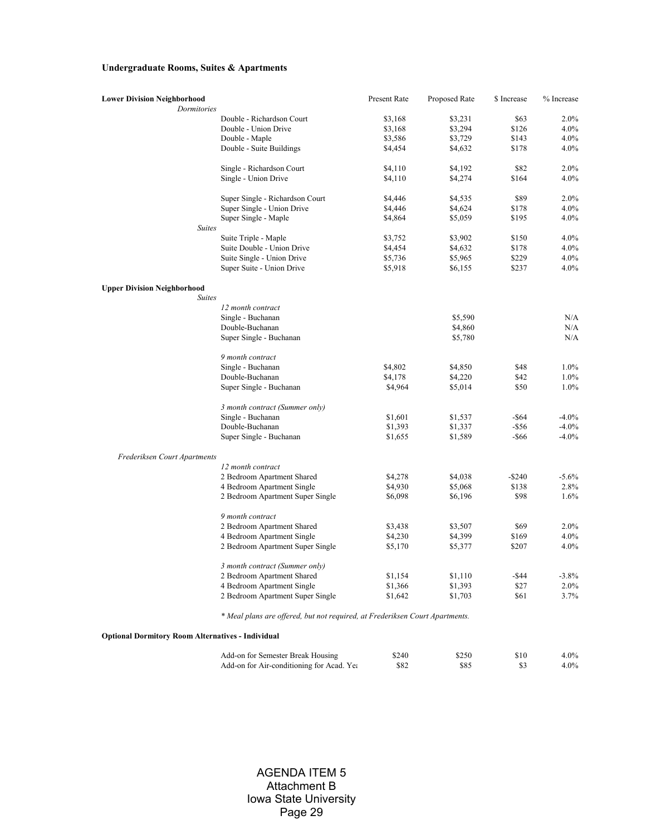## **Undergraduate Rooms, Suites & Apartments**

| <b>Lower Division Neighborhood</b><br>Dormitories |                                         | Present Rate                                                                            | Proposed Rate | \$ Increase | % Increase |
|---------------------------------------------------|-----------------------------------------|-----------------------------------------------------------------------------------------|---------------|-------------|------------|
|                                                   | Double - Richardson Court               | \$3,168                                                                                 | \$3,231       | \$63        | 2.0%       |
|                                                   | Double - Union Drive                    | \$3,168                                                                                 | \$3,294       | \$126       | 4.0%       |
|                                                   |                                         |                                                                                         |               | \$143       | 4.0%       |
|                                                   | Double - Maple                          | \$3,586                                                                                 | \$3,729       |             |            |
|                                                   | Double - Suite Buildings                | \$4,454                                                                                 | \$4,632       | \$178       | 4.0%       |
|                                                   | Single - Richardson Court               | \$4,110                                                                                 | \$4,192       | \$82        | 2.0%       |
|                                                   | Single - Union Drive                    | \$4,110                                                                                 | \$4,274       | \$164       | 4.0%       |
|                                                   | Super Single - Richardson Court         | \$4,446                                                                                 | \$4,535       | \$89        | 2.0%       |
|                                                   | Super Single - Union Drive              | \$4,446                                                                                 | \$4,624       | \$178       | 4.0%       |
|                                                   | Super Single - Maple                    | \$4,864                                                                                 | \$5,059       | \$195       | 4.0%       |
| <b>Suites</b>                                     |                                         |                                                                                         |               |             |            |
|                                                   | Suite Triple - Maple                    | \$3,752                                                                                 | \$3,902       | \$150       | 4.0%       |
|                                                   | Suite Double - Union Drive              | \$4,454                                                                                 | \$4,632       | \$178       | 4.0%       |
|                                                   | Suite Single - Union Drive              | \$5,736                                                                                 | \$5,965       | \$229       | 4.0%       |
|                                                   | Super Suite - Union Drive               | \$5,918                                                                                 | \$6,155       | \$237       | 4.0%       |
| <b>Upper Division Neighborhood</b>                |                                         |                                                                                         |               |             |            |
| <b>Suites</b>                                     |                                         |                                                                                         |               |             |            |
|                                                   | 12 month contract                       |                                                                                         |               |             |            |
|                                                   | Single - Buchanan                       |                                                                                         | \$5,590       |             | N/A        |
|                                                   | Double-Buchanan                         |                                                                                         | \$4,860       |             | N/A        |
|                                                   | Super Single - Buchanan                 |                                                                                         | \$5,780       |             | N/A        |
|                                                   | 9 month contract                        |                                                                                         |               |             |            |
|                                                   | Single - Buchanan                       | \$4,802                                                                                 | \$4,850       | \$48        | 1.0%       |
|                                                   | Double-Buchanan                         | \$4,178                                                                                 | \$4,220       | \$42        | 1.0%       |
|                                                   | Super Single - Buchanan                 | \$4,964                                                                                 | \$5,014       | \$50        | 1.0%       |
|                                                   | 3 month contract (Summer only)          |                                                                                         |               |             |            |
|                                                   | Single - Buchanan                       | \$1,601                                                                                 | \$1,537       | $-$ \$64    | $-4.0%$    |
|                                                   | Double-Buchanan                         | \$1,393                                                                                 | \$1,337       | $-$ \$56    | $-4.0%$    |
|                                                   | Super Single - Buchanan                 | \$1,655                                                                                 | \$1,589       | -\$66       | $-4.0%$    |
| Frederiksen Court Apartments                      |                                         |                                                                                         |               |             |            |
|                                                   | 12 month contract                       |                                                                                         |               |             |            |
|                                                   | 2 Bedroom Apartment Shared              | \$4,278                                                                                 | \$4,038       | $-$ \$240   | $-5.6%$    |
|                                                   | 4 Bedroom Apartment Single              | \$4,930                                                                                 | \$5,068       | \$138       | 2.8%       |
|                                                   | 2 Bedroom Apartment Super Single        | \$6,098                                                                                 | \$6,196       | \$98        | 1.6%       |
|                                                   | 9 month contract                        |                                                                                         |               |             |            |
|                                                   | 2 Bedroom Apartment Shared              | \$3,438                                                                                 | \$3,507       | \$69        | 2.0%       |
|                                                   | 4 Bedroom Apartment Single              | \$4,230                                                                                 | \$4,399       | \$169       | 4.0%       |
|                                                   | 2 Bedroom Apartment Super Single        | \$5,170                                                                                 | \$5,377       | \$207       | 4.0%       |
|                                                   | 3 month contract (Summer only)          |                                                                                         |               |             |            |
|                                                   | 2 Bedroom Apartment Shared              | \$1,154                                                                                 | \$1,110       | $-$ \$44    | $-3.8%$    |
|                                                   | 4 Bedroom Apartment Single              | \$1,366                                                                                 | \$1,393       | \$27        | 2.0%       |
|                                                   | 2 Bedroom Apartment Super Single        | \$1,642                                                                                 | \$1,703       | \$61        | 3.7%       |
|                                                   | $\cdots$<br>$\sim$ $\sim$ $\sim$ $\sim$ | $\mathbf{r}$ , $\mathbf{r}$ , $\mathbf{r}$ , $\mathbf{r}$ , $\mathbf{r}$ , $\mathbf{r}$ |               |             |            |

*\* Meal plans are offered, but not required, at Frederiksen Court Apartments.*

**Optional Dormitory Room Alternatives - Individual**

| Add-on for Semester Break Housing         | \$240 | \$250 | \$10 | $4.0\%$ |
|-------------------------------------------|-------|-------|------|---------|
| Add-on for Air-conditioning for Acad. Yea | \$82  | \$85  |      | $4.0\%$ |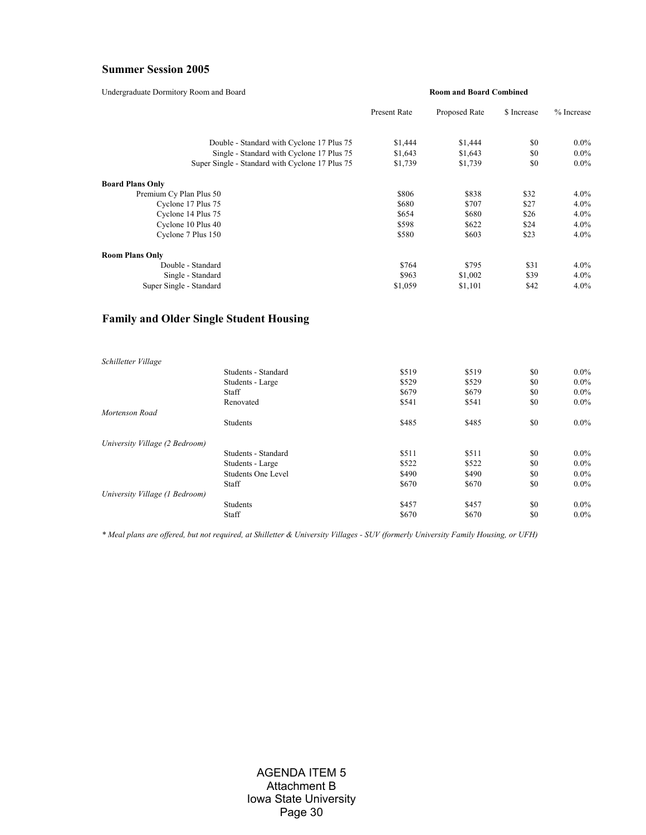# **Summer Session 2005**

Undergraduate Dormitory Room and Board

#### **Room and Board Combined**

|                                                 | <b>Present Rate</b> | Proposed Rate | \$ Increase | % Increase |
|-------------------------------------------------|---------------------|---------------|-------------|------------|
| Double - Standard with Cyclone 17 Plus 75       | \$1,444             | \$1,444       | \$0         | $0.0\%$    |
| Single - Standard with Cyclone 17 Plus 75       | \$1,643             | \$1,643       | \$0         | $0.0\%$    |
| Super Single - Standard with Cyclone 17 Plus 75 | \$1,739             | \$1,739       | \$0         | $0.0\%$    |
| <b>Board Plans Only</b>                         |                     |               |             |            |
| Premium Cy Plan Plus 50                         | \$806               | \$838         | \$32        | 4.0%       |
| Cyclone 17 Plus 75                              | \$680               | \$707         | \$27        | 4.0%       |
| Cyclone 14 Plus 75                              | \$654               | \$680         | \$26        | 4.0%       |
| Cyclone 10 Plus 40                              | \$598               | \$622         | \$24        | 4.0%       |
| Cyclone 7 Plus 150                              | \$580               | \$603         | \$23        | 4.0%       |
| <b>Room Plans Only</b>                          |                     |               |             |            |
| Double - Standard                               | \$764               | \$795         | \$31        | 4.0%       |
| Single - Standard                               | \$963               | \$1,002       | \$39        | 4.0%       |
| Super Single - Standard                         | \$1,059             | \$1,101       | \$42        | 4.0%       |

# **Family and Older Single Student Housing**

| Schilletter Village            |                     |       |       |     |         |
|--------------------------------|---------------------|-------|-------|-----|---------|
|                                | Students - Standard | \$519 | \$519 | \$0 | $0.0\%$ |
|                                | Students - Large    | \$529 | \$529 | \$0 | $0.0\%$ |
|                                | Staff               | \$679 | \$679 | \$0 | $0.0\%$ |
|                                | Renovated           | \$541 | \$541 | \$0 | $0.0\%$ |
| Mortenson Road                 |                     |       |       |     |         |
|                                | <b>Students</b>     | \$485 | \$485 | \$0 | $0.0\%$ |
| University Village (2 Bedroom) |                     |       |       |     |         |
|                                | Students - Standard | \$511 | \$511 | \$0 | $0.0\%$ |
|                                | Students - Large    | \$522 | \$522 | \$0 | $0.0\%$ |
|                                | Students One Level  | \$490 | \$490 | \$0 | $0.0\%$ |
|                                | Staff               | \$670 | \$670 | \$0 | $0.0\%$ |
| University Village (1 Bedroom) |                     |       |       |     |         |
|                                | <b>Students</b>     | \$457 | \$457 | \$0 | $0.0\%$ |
|                                | Staff               | \$670 | \$670 | \$0 | $0.0\%$ |

*\* Meal plans are offered, but not required, at Shilletter & University Villages - SUV (formerly University Family Housing, or UFH)*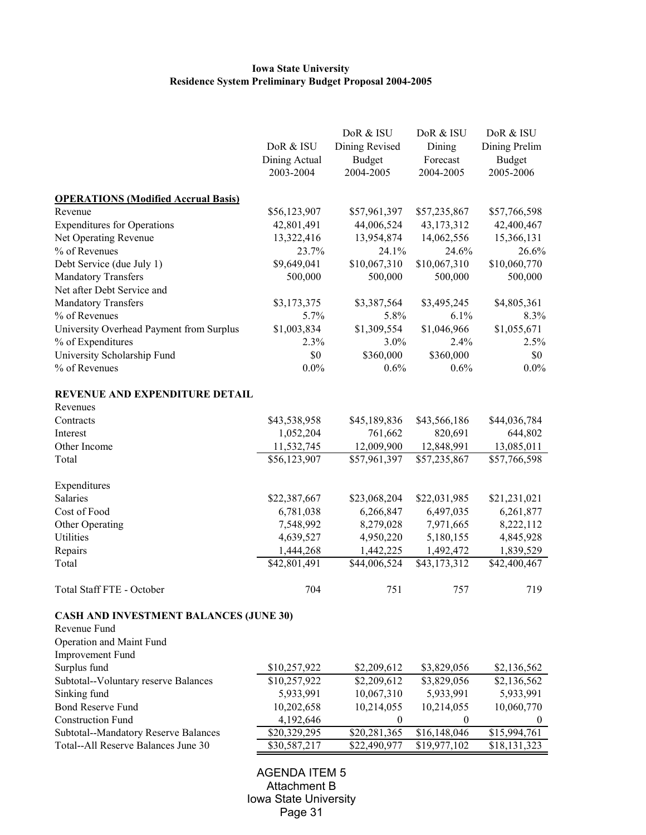# **Iowa State University Residence System Preliminary Budget Proposal 2004-2005**

|                                               |               | DoR & ISU      | DoR & ISU    | DoR & ISU     |
|-----------------------------------------------|---------------|----------------|--------------|---------------|
|                                               | DoR & ISU     | Dining Revised | Dining       | Dining Prelim |
|                                               | Dining Actual | <b>Budget</b>  | Forecast     | <b>Budget</b> |
|                                               | 2003-2004     | 2004-2005      | 2004-2005    | 2005-2006     |
| <b>OPERATIONS (Modified Accrual Basis)</b>    |               |                |              |               |
| Revenue                                       | \$56,123,907  | \$57,961,397   | \$57,235,867 | \$57,766,598  |
| <b>Expenditures for Operations</b>            | 42,801,491    | 44,006,524     | 43,173,312   | 42,400,467    |
| Net Operating Revenue                         | 13,322,416    | 13,954,874     | 14,062,556   | 15,366,131    |
| % of Revenues                                 | 23.7%         | 24.1%          | 24.6%        | 26.6%         |
| Debt Service (due July 1)                     | \$9,649,041   | \$10,067,310   | \$10,067,310 | \$10,060,770  |
| <b>Mandatory Transfers</b>                    | 500,000       | 500,000        | 500,000      | 500,000       |
| Net after Debt Service and                    |               |                |              |               |
| Mandatory Transfers                           | \$3,173,375   | \$3,387,564    | \$3,495,245  | \$4,805,361   |
| % of Revenues                                 | 5.7%          | 5.8%           | $6.1\%$      | 8.3%          |
| University Overhead Payment from Surplus      | \$1,003,834   | \$1,309,554    | \$1,046,966  | \$1,055,671   |
| % of Expenditures                             | 2.3%          | $3.0\%$        | 2.4%         | 2.5%          |
| University Scholarship Fund                   | \$0           | \$360,000      | \$360,000    | \$0           |
| % of Revenues                                 | 0.0%          | 0.6%           | 0.6%         | $0.0\%$       |
| REVENUE AND EXPENDITURE DETAIL                |               |                |              |               |
| Revenues                                      |               |                |              |               |
| Contracts                                     | \$43,538,958  | \$45,189,836   | \$43,566,186 | \$44,036,784  |
| Interest                                      | 1,052,204     | 761,662        | 820,691      | 644,802       |
| Other Income                                  | 11,532,745    | 12,009,900     | 12,848,991   | 13,085,011    |
| Total                                         | \$56,123,907  | \$57,961,397   | \$57,235,867 | \$57,766,598  |
| Expenditures                                  |               |                |              |               |
| Salaries                                      | \$22,387,667  | \$23,068,204   | \$22,031,985 | \$21,231,021  |
| Cost of Food                                  | 6,781,038     | 6,266,847      | 6,497,035    | 6,261,877     |
| Other Operating                               | 7,548,992     | 8,279,028      | 7,971,665    | 8,222,112     |
| Utilities                                     | 4,639,527     | 4,950,220      | 5,180,155    | 4,845,928     |
| Repairs                                       | 1,444,268     | 1,442,225      | 1,492,472    | 1,839,529     |
| Total                                         | \$42,801,491  | \$44,006,524   | \$43,173,312 | \$42,400,467  |
| Total Staff FTE - October                     | 704           | 751            | 757          | 719           |
| <b>CASH AND INVESTMENT BALANCES (JUNE 30)</b> |               |                |              |               |
| Revenue Fund                                  |               |                |              |               |
| <b>Operation and Maint Fund</b>               |               |                |              |               |
| <b>Improvement Fund</b>                       |               |                |              |               |
| Surplus fund                                  | \$10,257,922  | \$2,209,612    | \$3,829,056  | \$2,136,562   |
| Subtotal--Voluntary reserve Balances          | \$10,257,922  | \$2,209,612    | \$3,829,056  | \$2,136,562   |
| Sinking fund                                  | 5,933,991     | 10,067,310     | 5,933,991    | 5,933,991     |
| <b>Bond Reserve Fund</b>                      | 10,202,658    | 10,214,055     | 10,214,055   | 10,060,770    |
| <b>Construction Fund</b>                      | 4,192,646     | $\mathbf{0}$   | $\mathbf{0}$ | $\theta$      |
| <b>Subtotal--Mandatory Reserve Balances</b>   | \$20,329,295  | \$20,281,365   | \$16,148,046 | \$15,994,761  |
| Total--All Reserve Balances June 30           | \$30,587,217  | \$22,490,977   | \$19,977,102 | \$18,131,323  |
|                                               |               |                |              |               |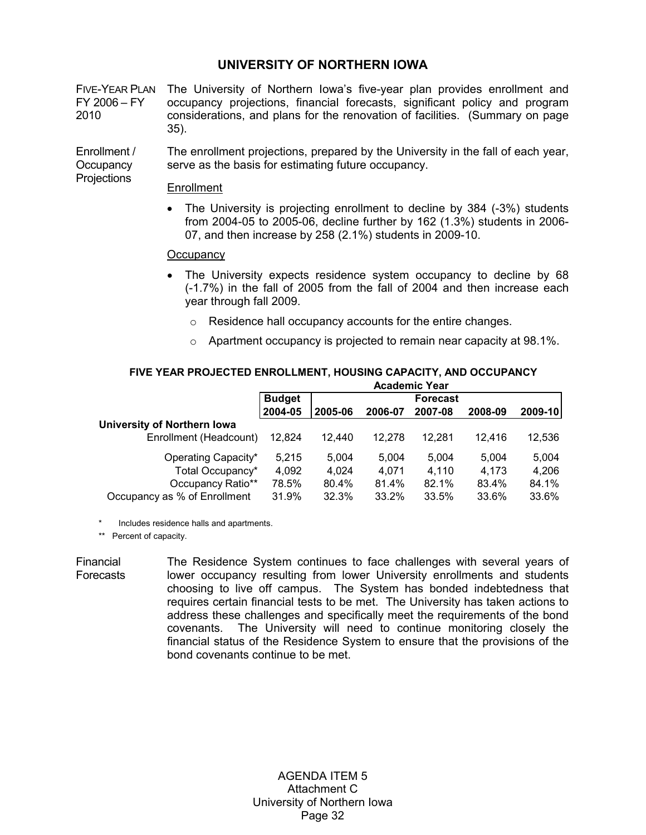# **UNIVERSITY OF NORTHERN IOWA**

FIVE-YEAR PLAN The University of Northern Iowa's five-year plan provides enrollment and FY 2006 – FY 2010 occupancy projections, financial forecasts, significant policy and program considerations, and plans for the renovation of facilities. (Summary on page 35).

Enrollment / **Occupancy** Projections The enrollment projections, prepared by the University in the fall of each year, serve as the basis for estimating future occupancy.

## Enrollment

• The University is projecting enrollment to decline by 384 (-3%) students from 2004-05 to 2005-06, decline further by 162 (1.3%) students in 2006- 07, and then increase by 258 (2.1%) students in 2009-10.

## **Occupancy**

- The University expects residence system occupancy to decline by 68 (-1.7%) in the fall of 2005 from the fall of 2004 and then increase each year through fall 2009.
	- o Residence hall occupancy accounts for the entire changes.
	- o Apartment occupancy is projected to remain near capacity at 98.1%.

|                                    |               |         |         | <b>Academic Year</b> |         |         |
|------------------------------------|---------------|---------|---------|----------------------|---------|---------|
|                                    | <b>Budget</b> |         |         | <b>Forecast</b>      |         |         |
|                                    | 2004-05       | 2005-06 | 2006-07 | 2007-08              | 2008-09 | 2009-10 |
| <b>University of Northern Iowa</b> |               |         |         |                      |         |         |
| Enrollment (Headcount)             | 12,824        | 12.440  | 12.278  | 12.281               | 12.416  | 12,536  |
| Operating Capacity*                | 5.215         | 5.004   | 5.004   | 5.004                | 5.004   | 5,004   |
| Total Occupancy*                   | 4.092         | 4.024   | 4.071   | 4.110                | 4.173   | 4.206   |
| Occupancy Ratio**                  | 78.5%         | 80.4%   | 81.4%   | 82.1%                | 83.4%   | 84.1%   |
| Occupancy as % of Enrollment       | 31.9%         | 32.3%   | 33.2%   | 33.5%                | 33.6%   | 33.6%   |

# **FIVE YEAR PROJECTED ENROLLMENT, HOUSING CAPACITY, AND OCCUPANCY**

Includes residence halls and apartments.

\*\* Percent of capacity.

Financial **Forecasts** The Residence System continues to face challenges with several years of lower occupancy resulting from lower University enrollments and students choosing to live off campus. The System has bonded indebtedness that requires certain financial tests to be met. The University has taken actions to address these challenges and specifically meet the requirements of the bond covenants. The University will need to continue monitoring closely the financial status of the Residence System to ensure that the provisions of the bond covenants continue to be met.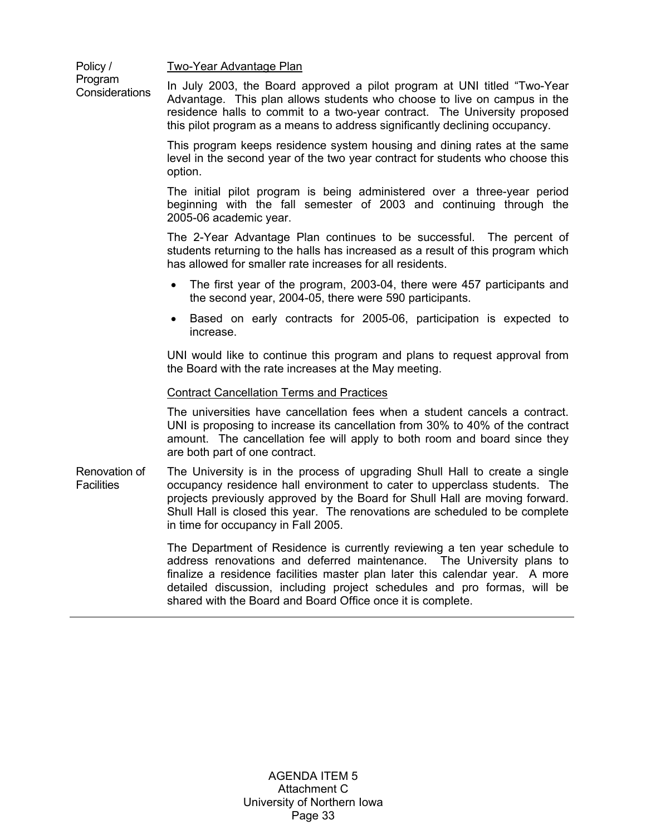Two-Year Advantage Plan

Policy / Program **Considerations** 

In July 2003, the Board approved a pilot program at UNI titled "Two-Year Advantage. This plan allows students who choose to live on campus in the residence halls to commit to a two-year contract. The University proposed this pilot program as a means to address significantly declining occupancy.

This program keeps residence system housing and dining rates at the same level in the second year of the two year contract for students who choose this option.

The initial pilot program is being administered over a three-year period beginning with the fall semester of 2003 and continuing through the 2005-06 academic year.

 The 2-Year Advantage Plan continues to be successful. The percent of students returning to the halls has increased as a result of this program which has allowed for smaller rate increases for all residents.

- The first year of the program, 2003-04, there were 457 participants and the second year, 2004-05, there were 590 participants.
- Based on early contracts for 2005-06, participation is expected to increase.

UNI would like to continue this program and plans to request approval from the Board with the rate increases at the May meeting.

## Contract Cancellation Terms and Practices

The universities have cancellation fees when a student cancels a contract. UNI is proposing to increase its cancellation from 30% to 40% of the contract amount. The cancellation fee will apply to both room and board since they are both part of one contract.

Renovation of **Facilities** The University is in the process of upgrading Shull Hall to create a single occupancy residence hall environment to cater to upperclass students. The projects previously approved by the Board for Shull Hall are moving forward. Shull Hall is closed this year. The renovations are scheduled to be complete in time for occupancy in Fall 2005.

> The Department of Residence is currently reviewing a ten year schedule to address renovations and deferred maintenance. The University plans to finalize a residence facilities master plan later this calendar year. A more detailed discussion, including project schedules and pro formas, will be shared with the Board and Board Office once it is complete.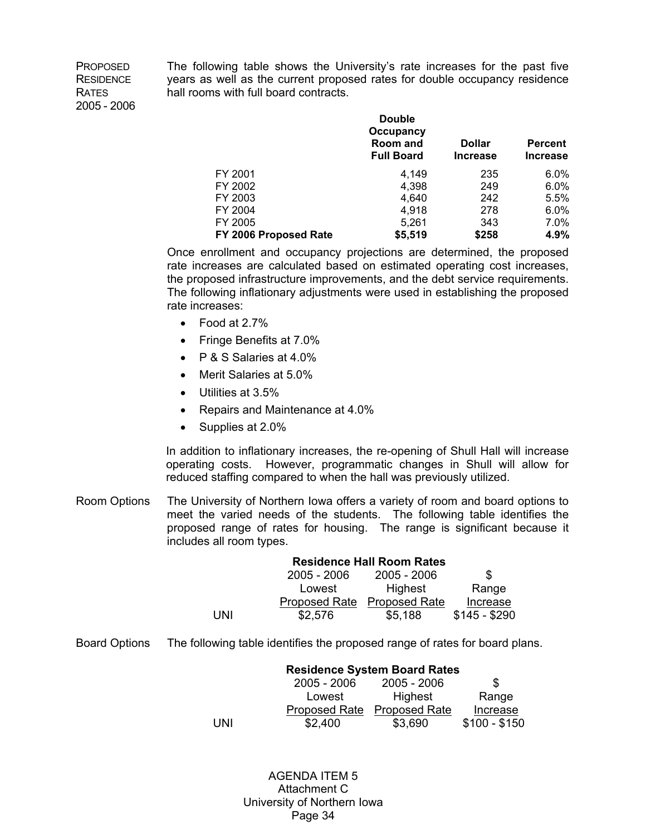PROPOSED RESIDENCE **RATES** 2005 - 2006 The following table shows the University's rate increases for the past five years as well as the current proposed rates for double occupancy residence hall rooms with full board contracts.

|                       | <b>Double</b><br>Occupancy<br>Room and<br><b>Full Board</b> | <b>Dollar</b><br><b>Increase</b> | <b>Percent</b><br><b>Increase</b> |
|-----------------------|-------------------------------------------------------------|----------------------------------|-----------------------------------|
| FY 2001               | 4,149                                                       | 235                              | 6.0%                              |
| FY 2002               | 4,398                                                       | 249                              | 6.0%                              |
| FY 2003               | 4.640                                                       | 242                              | 5.5%                              |
| FY 2004               | 4,918                                                       | 278                              | 6.0%                              |
| FY 2005               | 5,261                                                       | 343                              | 7.0%                              |
| FY 2006 Proposed Rate | \$5,519                                                     | \$258                            | 4.9%                              |

 Once enrollment and occupancy projections are determined, the proposed rate increases are calculated based on estimated operating cost increases, the proposed infrastructure improvements, and the debt service requirements. The following inflationary adjustments were used in establishing the proposed rate increases:

- Food at 2.7%
- Fringe Benefits at 7.0%
- P & S Salaries at 4.0%
- Merit Salaries at 5.0%
- Utilities at 3.5%
- Repairs and Maintenance at 4.0%
- Supplies at 2.0%

In addition to inflationary increases, the re-opening of Shull Hall will increase operating costs. However, programmatic changes in Shull will allow for reduced staffing compared to when the hall was previously utilized.

Room Options The University of Northern Iowa offers a variety of room and board options to meet the varied needs of the students. The following table identifies the proposed range of rates for housing. The range is significant because it includes all room types.

|     | <b>Residence Hall Room Rates</b> |                      |               |  |
|-----|----------------------------------|----------------------|---------------|--|
|     | $2005 - 2006$                    | 2005 - 2006          | \$.           |  |
|     | Lowest                           | Highest              | Range         |  |
|     | Proposed Rate                    | <b>Proposed Rate</b> | Increase      |  |
| UNI | \$2,576                          | \$5,188              | $$145 - $290$ |  |

Board Options The following table identifies the proposed range of rates for board plans.

| <b>Residence System Board Rates</b> |                      |                      |               |  |  |
|-------------------------------------|----------------------|----------------------|---------------|--|--|
|                                     | $2005 - 2006$        | $2005 - 2006$        | S             |  |  |
|                                     | Lowest               | Highest              | Range         |  |  |
|                                     | <b>Proposed Rate</b> | <b>Proposed Rate</b> | Increase      |  |  |
| UNI                                 | \$2,400              | \$3,690              | $$100 - $150$ |  |  |

AGENDA ITEM 5 Attachment C University of Northern Iowa Page 34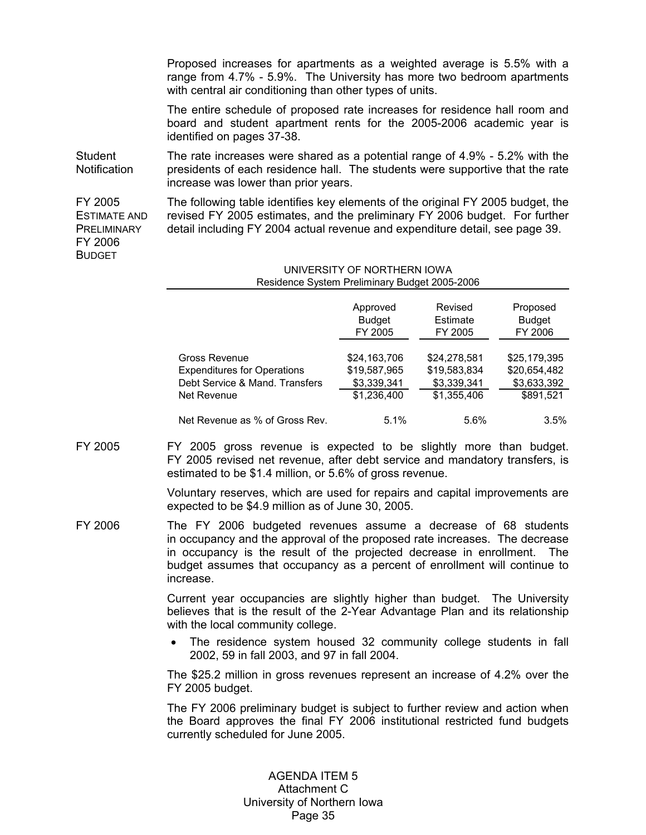Proposed increases for apartments as a weighted average is 5.5% with a range from 4.7% - 5.9%. The University has more two bedroom apartments with central air conditioning than other types of units.

The entire schedule of proposed rate increases for residence hall room and board and student apartment rents for the 2005-2006 academic year is identified on pages 37-38.

**Student Notification** The rate increases were shared as a potential range of 4.9% - 5.2% with the presidents of each residence hall. The students were supportive that the rate increase was lower than prior years.

FY 2005 ESTIMATE AND PRELIMINARY FY 2006 **BUDGET** 

The following table identifies key elements of the original FY 2005 budget, the revised FY 2005 estimates, and the preliminary FY 2006 budget. For further detail including FY 2004 actual revenue and expenditure detail, see page 39.

#### UNIVERSITY OF NORTHERN IOWA Residence System Preliminary Budget 2005-2006

|                                    | Approved      | Revised      | Proposed      |
|------------------------------------|---------------|--------------|---------------|
|                                    | <b>Budget</b> | Estimate     | <b>Budget</b> |
|                                    | FY 2005       | FY 2005      | FY 2006       |
| Gross Revenue                      | \$24,163,706  | \$24,278,581 | \$25,179,395  |
| <b>Expenditures for Operations</b> | \$19,587,965  | \$19,583,834 | \$20,654,482  |
| Debt Service & Mand. Transfers     | \$3,339,341   | \$3,339,341  | \$3,633,392   |
| Net Revenue                        | \$1,236,400   | \$1,355,406  | \$891,521     |
| Net Revenue as % of Gross Rev.     | 5.1%          | 5.6%         | 3.5%          |

FY 2005 FY 2005 gross revenue is expected to be slightly more than budget. FY 2005 revised net revenue, after debt service and mandatory transfers, is estimated to be \$1.4 million, or 5.6% of gross revenue.

> Voluntary reserves, which are used for repairs and capital improvements are expected to be \$4.9 million as of June 30, 2005.

FY 2006 The FY 2006 budgeted revenues assume a decrease of 68 students in occupancy and the approval of the proposed rate increases. The decrease in occupancy is the result of the projected decrease in enrollment. The budget assumes that occupancy as a percent of enrollment will continue to increase.

> Current year occupancies are slightly higher than budget. The University believes that is the result of the 2-Year Advantage Plan and its relationship with the local community college.

> • The residence system housed 32 community college students in fall 2002, 59 in fall 2003, and 97 in fall 2004.

> The \$25.2 million in gross revenues represent an increase of 4.2% over the FY 2005 budget.

> The FY 2006 preliminary budget is subject to further review and action when the Board approves the final FY 2006 institutional restricted fund budgets currently scheduled for June 2005.

> > AGENDA ITEM 5 Attachment C University of Northern Iowa Page 35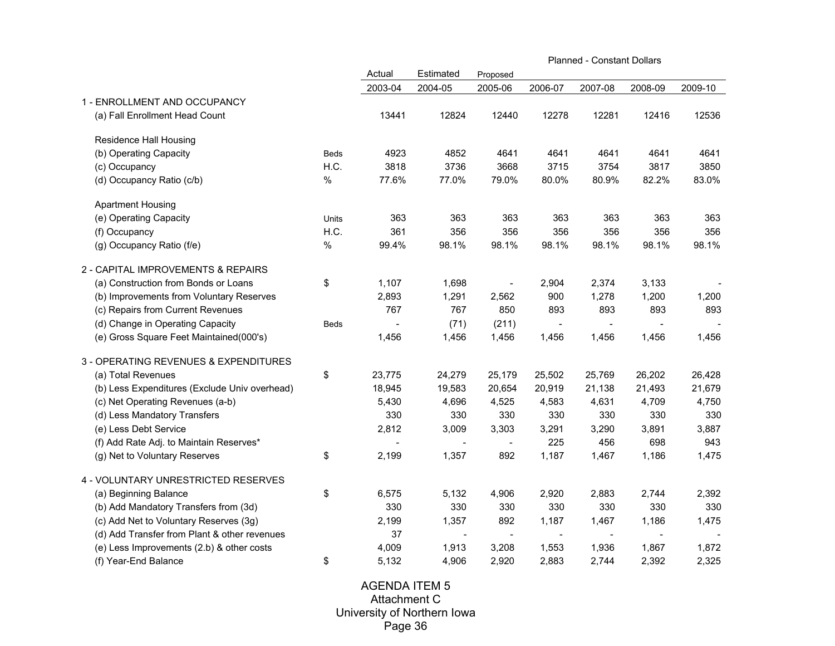|                                               |             |         |                          | <b>Planned - Constant Dollars</b> |                          |                |                          |         |
|-----------------------------------------------|-------------|---------|--------------------------|-----------------------------------|--------------------------|----------------|--------------------------|---------|
|                                               |             | Actual  | Estimated                | Proposed                          |                          |                |                          |         |
|                                               |             | 2003-04 | 2004-05                  | 2005-06                           | 2006-07                  | 2007-08        | 2008-09                  | 2009-10 |
| 1 - ENROLLMENT AND OCCUPANCY                  |             |         |                          |                                   |                          |                |                          |         |
| (a) Fall Enrollment Head Count                |             | 13441   | 12824                    | 12440                             | 12278                    | 12281          | 12416                    | 12536   |
| Residence Hall Housing                        |             |         |                          |                                   |                          |                |                          |         |
| (b) Operating Capacity                        | <b>Beds</b> | 4923    | 4852                     | 4641                              | 4641                     | 4641           | 4641                     | 4641    |
| (c) Occupancy                                 | H.C.        | 3818    | 3736                     | 3668                              | 3715                     | 3754           | 3817                     | 3850    |
| (d) Occupancy Ratio (c/b)                     | $\%$        | 77.6%   | 77.0%                    | 79.0%                             | 80.0%                    | 80.9%          | 82.2%                    | 83.0%   |
| <b>Apartment Housing</b>                      |             |         |                          |                                   |                          |                |                          |         |
| (e) Operating Capacity                        | Units       | 363     | 363                      | 363                               | 363                      | 363            | 363                      | 363     |
| (f) Occupancy                                 | H.C.        | 361     | 356                      | 356                               | 356                      | 356            | 356                      | 356     |
| (g) Occupancy Ratio (f/e)                     | $\%$        | 99.4%   | 98.1%                    | 98.1%                             | 98.1%                    | 98.1%          | 98.1%                    | 98.1%   |
| 2 - CAPITAL IMPROVEMENTS & REPAIRS            |             |         |                          |                                   |                          |                |                          |         |
| (a) Construction from Bonds or Loans          | \$          | 1,107   | 1,698                    |                                   | 2,904                    | 2,374          | 3,133                    |         |
| (b) Improvements from Voluntary Reserves      |             | 2,893   | 1,291                    | 2,562                             | 900                      | 1,278          | 1,200                    | 1,200   |
| (c) Repairs from Current Revenues             |             | 767     | 767                      | 850                               | 893                      | 893            | 893                      | 893     |
| (d) Change in Operating Capacity              | Beds        |         | (71)                     | (211)                             | $\sim$                   |                |                          |         |
| (e) Gross Square Feet Maintained(000's)       |             | 1,456   | 1,456                    | 1,456                             | 1,456                    | 1,456          | 1,456                    | 1,456   |
| 3 - OPERATING REVENUES & EXPENDITURES         |             |         |                          |                                   |                          |                |                          |         |
| (a) Total Revenues                            | \$          | 23,775  | 24,279                   | 25,179                            | 25,502                   | 25,769         | 26,202                   | 26,428  |
| (b) Less Expenditures (Exclude Univ overhead) |             | 18,945  | 19,583                   | 20,654                            | 20,919                   | 21,138         | 21,493                   | 21,679  |
| (c) Net Operating Revenues (a-b)              |             | 5,430   | 4,696                    | 4,525                             | 4,583                    | 4,631          | 4,709                    | 4,750   |
| (d) Less Mandatory Transfers                  |             | 330     | 330                      | 330                               | 330                      | 330            | 330                      | 330     |
| (e) Less Debt Service                         |             | 2,812   | 3,009                    | 3,303                             | 3,291                    | 3,290          | 3,891                    | 3,887   |
| (f) Add Rate Adj. to Maintain Reserves*       |             |         | $\blacksquare$           | $\blacksquare$                    | 225                      | 456            | 698                      | 943     |
| (g) Net to Voluntary Reserves                 | \$          | 2,199   | 1,357                    | 892                               | 1,187                    | 1,467          | 1,186                    | 1,475   |
| 4 - VOLUNTARY UNRESTRICTED RESERVES           |             |         |                          |                                   |                          |                |                          |         |
| (a) Beginning Balance                         | \$          | 6,575   | 5,132                    | 4,906                             | 2,920                    | 2,883          | 2,744                    | 2,392   |
| (b) Add Mandatory Transfers from (3d)         |             | 330     | 330                      | 330                               | 330                      | 330            | 330                      | 330     |
| (c) Add Net to Voluntary Reserves (3g)        |             | 2,199   | 1,357                    | 892                               | 1,187                    | 1,467          | 1,186                    | 1,475   |
| (d) Add Transfer from Plant & other revenues  |             | 37      | $\overline{\phantom{a}}$ | $\overline{\phantom{a}}$          | $\overline{\phantom{a}}$ | $\blacksquare$ | $\overline{\phantom{a}}$ |         |
| (e) Less Improvements (2.b) & other costs     |             | 4,009   | 1,913                    | 3,208                             | 1,553                    | 1,936          | 1,867                    | 1,872   |
| (f) Year-End Balance                          | \$          | 5,132   | 4,906                    | 2,920                             | 2,883                    | 2,744          | 2,392                    | 2,325   |

AGENDA ITEM 5 Attachment C University of Northern Iowa Page 36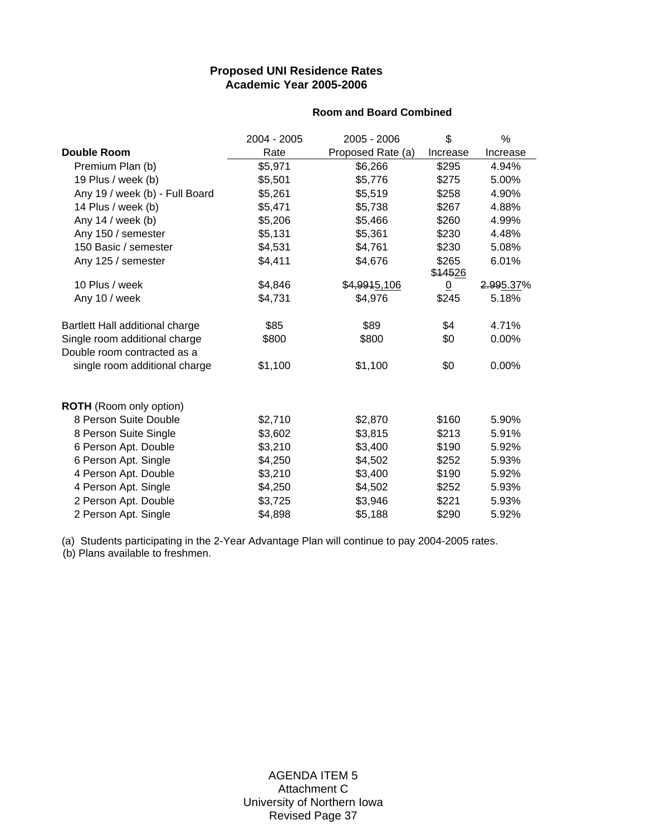# **Proposed UNI Residence Rates Academic Year 2005-2006**

#### **Room and Board Combined**

|                                 | 2004 - 2005 | 2005 - 2006       | \$               | %         |
|---------------------------------|-------------|-------------------|------------------|-----------|
| <b>Double Room</b>              | Rate        | Proposed Rate (a) | Increase         | Increase  |
| Premium Plan (b)                | \$5,971     | \$6,266           | \$295            | 4.94%     |
| 19 Plus / week (b)              | \$5,501     | \$5,776           | \$275            | 5.00%     |
| Any 19 / week (b) - Full Board  | \$5,261     | \$5,519           | \$258            | 4.90%     |
| 14 Plus / week (b)              | \$5,471     | \$5,738           | \$267            | 4.88%     |
| Any 14 / week (b)               | \$5,206     | \$5,466           | \$260            | 4.99%     |
| Any 150 / semester              | \$5,131     | \$5,361           | \$230            | 4.48%     |
| 150 Basic / semester            | \$4,531     | \$4,761           | \$230            | 5.08%     |
| Any 125 / semester              | \$4,411     | \$4,676           | \$265<br>\$14526 | 6.01%     |
| 10 Plus / week                  | \$4,846     | \$4,9915,106      | $\overline{0}$   | 2.995.37% |
| Any 10 / week                   | \$4,731     | \$4,976           | \$245            | 5.18%     |
| Bartlett Hall additional charge | \$85        | \$89              | \$4              | 4.71%     |
| Single room additional charge   | \$800       | \$800             | \$0              | 0.00%     |
| Double room contracted as a     |             |                   |                  |           |
| single room additional charge   | \$1,100     | \$1,100           | \$0              | 0.00%     |
| <b>ROTH</b> (Room only option)  |             |                   |                  |           |
| 8 Person Suite Double           | \$2,710     | \$2,870           | \$160            | 5.90%     |
| 8 Person Suite Single           | \$3,602     | \$3,815           | \$213            | 5.91%     |
| 6 Person Apt. Double            | \$3,210     | \$3,400           | \$190            | 5.92%     |
| 6 Person Apt. Single            | \$4,250     | \$4,502           | \$252            | 5.93%     |
| 4 Person Apt. Double            | \$3,210     | \$3,400           | \$190            | 5.92%     |
| 4 Person Apt. Single            | \$4,250     | \$4,502           | \$252            | 5.93%     |
| 2 Person Apt. Double            | \$3,725     | \$3,946           | \$221            | 5.93%     |
| 2 Person Apt. Single            | \$4,898     | \$5,188           | \$290            | 5.92%     |

(a) Students participating in the 2-Year Advantage Plan will continue to pay 2004-2005 rates.

(b) Plans available to freshmen.

AGENDA ITEM 5 Attachment C University of Northern Iowa Revised Page 37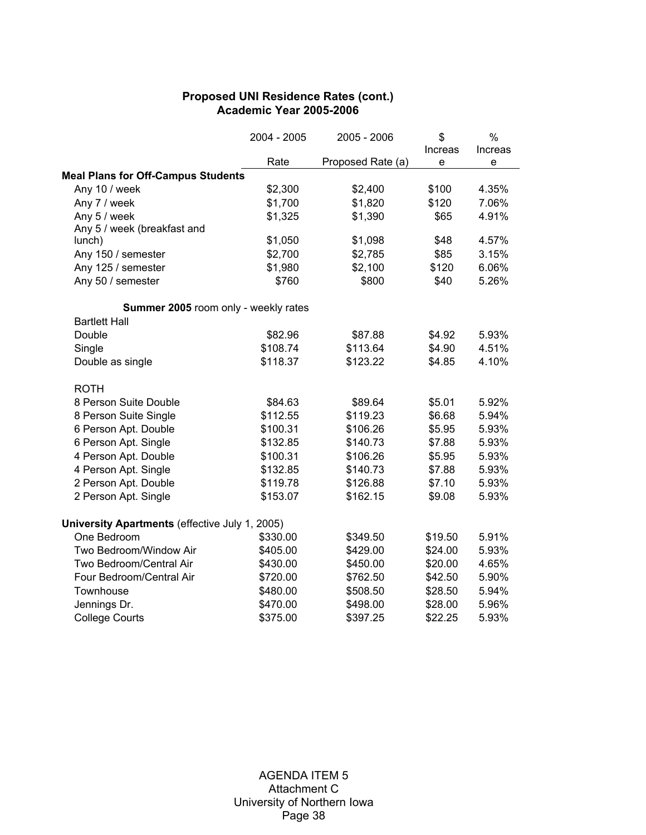# **Proposed UNI Residence Rates (cont.) Academic Year 2005-2006**

|                                                | 2004 - 2005 | 2005 - 2006       | \$      | $\%$                              |
|------------------------------------------------|-------------|-------------------|---------|-----------------------------------|
|                                                |             |                   | Increas | Increas                           |
|                                                | Rate        | Proposed Rate (a) | e       | $\mathsf{e}% _{t}\left( t\right)$ |
| <b>Meal Plans for Off-Campus Students</b>      |             |                   |         |                                   |
| Any 10 / week                                  | \$2,300     | \$2,400           | \$100   | 4.35%                             |
| Any 7 / week                                   | \$1,700     | \$1,820           | \$120   | 7.06%                             |
| Any 5 / week                                   | \$1,325     | \$1,390           | \$65    | 4.91%                             |
| Any 5 / week (breakfast and                    |             |                   |         |                                   |
| lunch)                                         | \$1,050     | \$1,098           | \$48    | 4.57%                             |
| Any 150 / semester                             | \$2,700     | \$2,785           | \$85    | 3.15%                             |
| Any 125 / semester                             | \$1,980     | \$2,100           | \$120   | 6.06%                             |
| Any 50 / semester                              | \$760       | \$800             | \$40    | 5.26%                             |
| Summer 2005 room only - weekly rates           |             |                   |         |                                   |
| <b>Bartlett Hall</b>                           |             |                   |         |                                   |
| Double                                         | \$82.96     | \$87.88           | \$4.92  | 5.93%                             |
| Single                                         | \$108.74    | \$113.64          | \$4.90  | 4.51%                             |
| Double as single                               | \$118.37    | \$123.22          | \$4.85  | 4.10%                             |
| <b>ROTH</b>                                    |             |                   |         |                                   |
| 8 Person Suite Double                          | \$84.63     | \$89.64           | \$5.01  | 5.92%                             |
| 8 Person Suite Single                          | \$112.55    | \$119.23          | \$6.68  | 5.94%                             |
| 6 Person Apt. Double                           | \$100.31    | \$106.26          | \$5.95  | 5.93%                             |
| 6 Person Apt. Single                           | \$132.85    | \$140.73          | \$7.88  | 5.93%                             |
| 4 Person Apt. Double                           | \$100.31    | \$106.26          | \$5.95  | 5.93%                             |
| 4 Person Apt. Single                           | \$132.85    | \$140.73          | \$7.88  | 5.93%                             |
| 2 Person Apt. Double                           | \$119.78    | \$126.88          | \$7.10  | 5.93%                             |
| 2 Person Apt. Single                           | \$153.07    | \$162.15          | \$9.08  | 5.93%                             |
| University Apartments (effective July 1, 2005) |             |                   |         |                                   |
| One Bedroom                                    | \$330.00    | \$349.50          | \$19.50 | 5.91%                             |
| Two Bedroom/Window Air                         | \$405.00    | \$429.00          | \$24.00 | 5.93%                             |
| Two Bedroom/Central Air                        | \$430.00    | \$450.00          | \$20.00 | 4.65%                             |
| Four Bedroom/Central Air                       | \$720.00    | \$762.50          | \$42.50 | 5.90%                             |
| Townhouse                                      | \$480.00    | \$508.50          | \$28.50 | 5.94%                             |
| Jennings Dr.                                   | \$470.00    | \$498.00          | \$28.00 | 5.96%                             |
| <b>College Courts</b>                          | \$375.00    | \$397.25          | \$22.25 | 5.93%                             |